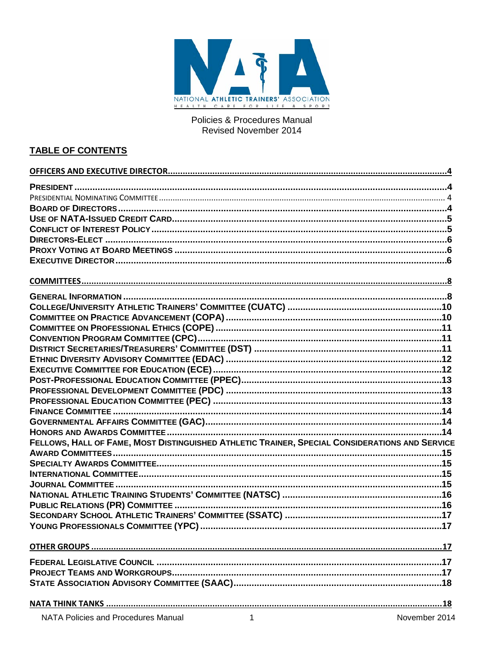

Policies & Procedures Manual Revised November 2014

# **TABLE OF CONTENTS**

| FELLOWS, HALL OF FAME, MOST DISTINGUISHED ATHLETIC TRAINER, SPECIAL CONSIDERATIONS AND SERVICE |  |
|------------------------------------------------------------------------------------------------|--|
|                                                                                                |  |
|                                                                                                |  |
|                                                                                                |  |
|                                                                                                |  |
|                                                                                                |  |
|                                                                                                |  |
|                                                                                                |  |
|                                                                                                |  |
|                                                                                                |  |
|                                                                                                |  |
|                                                                                                |  |
|                                                                                                |  |
|                                                                                                |  |
|                                                                                                |  |
|                                                                                                |  |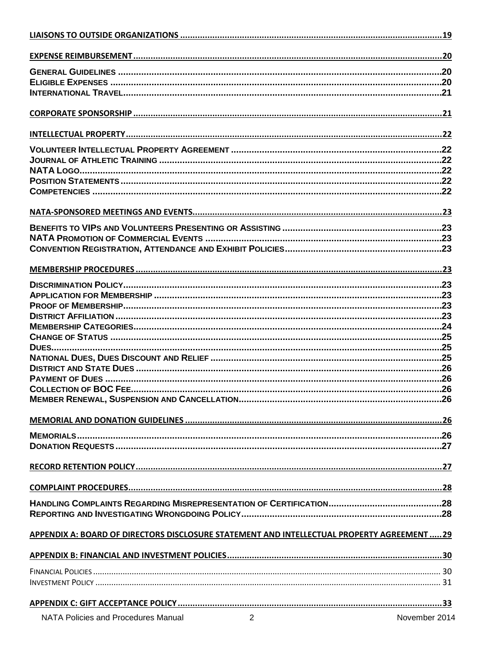| APPENDIX A: BOARD OF DIRECTORS DISCLOSURE STATEMENT AND INTELLECTUAL PROPERTY AGREEMENT  29 |               |
|---------------------------------------------------------------------------------------------|---------------|
|                                                                                             |               |
|                                                                                             |               |
|                                                                                             |               |
|                                                                                             |               |
|                                                                                             |               |
| $\overline{2}$<br>NATA Policies and Procedures Manual                                       | November 2014 |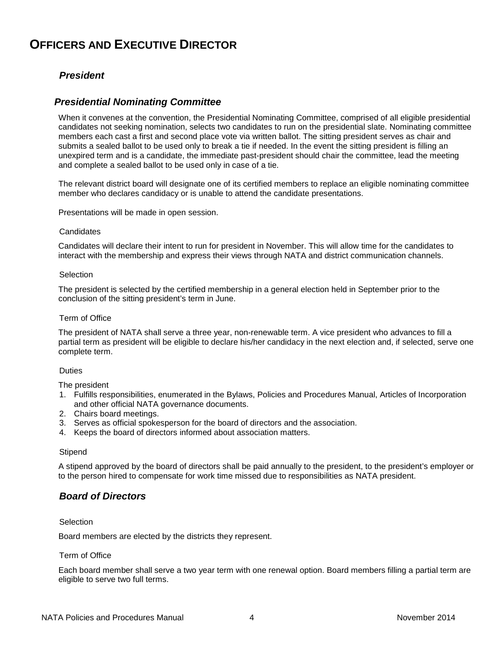# <span id="page-3-1"></span><span id="page-3-0"></span>**OFFICERS AND EXECUTIVE DIRECTOR**

# *President*

## <span id="page-3-2"></span>*Presidential Nominating Committee*

When it convenes at the convention, the Presidential Nominating Committee, comprised of all eligible presidential candidates not seeking nomination, selects two candidates to run on the presidential slate. Nominating committee members each cast a first and second place vote via written ballot. The sitting president serves as chair and submits a sealed ballot to be used only to break a tie if needed. In the event the sitting president is filling an unexpired term and is a candidate, the immediate past-president should chair the committee, lead the meeting and complete a sealed ballot to be used only in case of a tie.

The relevant district board will designate one of its certified members to replace an eligible nominating committee member who declares candidacy or is unable to attend the candidate presentations.

Presentations will be made in open session.

#### **Candidates**

Candidates will declare their intent to run for president in November. This will allow time for the candidates to interact with the membership and express their views through NATA and district communication channels.

#### **Selection**

The president is selected by the certified membership in a general election held in September prior to the conclusion of the sitting president's term in June.

#### Term of Office

The president of NATA shall serve a three year, non-renewable term. A vice president who advances to fill a partial term as president will be eligible to declare his/her candidacy in the next election and, if selected, serve one complete term.

#### **Duties**

The president

- 1. Fulfills responsibilities, enumerated in the Bylaws, Policies and Procedures Manual, Articles of Incorporation and other official NATA governance documents.
- 2. Chairs board meetings.
- 3. Serves as official spokesperson for the board of directors and the association.
- 4. Keeps the board of directors informed about association matters.

#### **Stipend**

A stipend approved by the board of directors shall be paid annually to the president, to the president's employer or to the person hired to compensate for work time missed due to responsibilities as NATA president.

## <span id="page-3-3"></span>*Board of Directors*

#### Selection

Board members are elected by the districts they represent.

### Term of Office

Each board member shall serve a two year term with one renewal option. Board members filling a partial term are eligible to serve two full terms.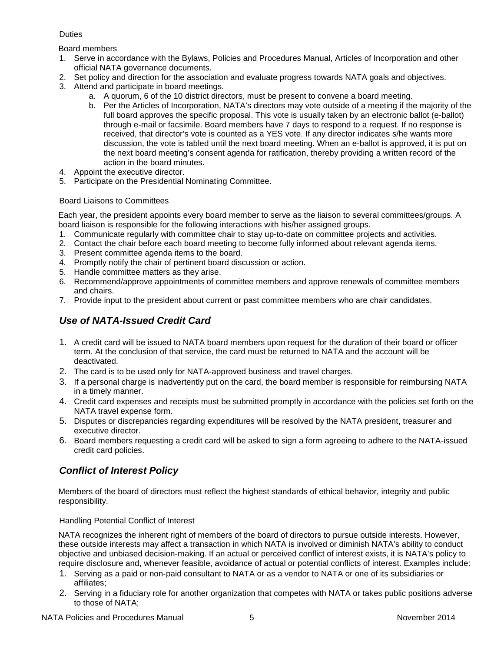## **Duties**

Board members

- 1. Serve in accordance with the Bylaws, Policies and Procedures Manual, Articles of Incorporation and other official NATA governance documents.
- 2. Set policy and direction for the association and evaluate progress towards NATA goals and objectives.
- 3. Attend and participate in board meetings.
	- a. A quorum, 6 of the 10 district directors, must be present to convene a board meeting.
	- b. Per the Articles of Incorporation, NATA's directors may vote outside of a meeting if the majority of the full board approves the specific proposal. This vote is usually taken by an electronic ballot (e-ballot) through e-mail or facsimile. Board members have 7 days to respond to a request. If no response is received, that director's vote is counted as a YES vote. If any director indicates s/he wants more discussion, the vote is tabled until the next board meeting. When an e-ballot is approved, it is put on the next board meeting's consent agenda for ratification, thereby providing a written record of the action in the board minutes.
- 4. Appoint the executive director.
- 5. Participate on the Presidential Nominating Committee.

## Board Liaisons to Committees

Each year, the president appoints every board member to serve as the liaison to several committees/groups. A board liaison is responsible for the following interactions with his/her assigned groups.

- 1. Communicate regularly with committee chair to stay up-to-date on committee projects and activities.
- 2. Contact the chair before each board meeting to become fully informed about relevant agenda items.
- 3. Present committee agenda items to the board.
- 4. Promptly notify the chair of pertinent board discussion or action.
- 5. Handle committee matters as they arise.
- 6. Recommend/approve appointments of committee members and approve renewals of committee members and chairs.
- <span id="page-4-0"></span>7. Provide input to the president about current or past committee members who are chair candidates.

# *Use of NATA-Issued Credit Card*

- 1. A credit card will be issued to NATA board members upon request for the duration of their board or officer term. At the conclusion of that service, the card must be returned to NATA and the account will be deactivated.
- 2. The card is to be used only for NATA-approved business and travel charges.
- 3. If a personal charge is inadvertently put on the card, the board member is responsible for reimbursing NATA in a timely manner.
- 4. Credit card expenses and receipts must be submitted promptly in accordance with the policies set forth on the NATA travel expense form.
- 5. Disputes or discrepancies regarding expenditures will be resolved by the NATA president, treasurer and executive director.
- 6. Board members requesting a credit card will be asked to sign a form agreeing to adhere to the NATA-issued credit card policies.

# <span id="page-4-1"></span>*Conflict of Interest Policy*

Members of the board of directors must reflect the highest standards of ethical behavior, integrity and public responsibility.

## Handling Potential Conflict of Interest

NATA recognizes the inherent right of members of the board of directors to pursue outside interests. However, these outside interests may affect a transaction in which NATA is involved or diminish NATA's ability to conduct objective and unbiased decision-making. If an actual or perceived conflict of interest exists, it is NATA's policy to require disclosure and, whenever feasible, avoidance of actual or potential conflicts of interest. Examples include:

- 1. Serving as a paid or non-paid consultant to NATA or as a vendor to NATA or one of its subsidiaries or affiliates;
- 2. Serving in a fiduciary role for another organization that competes with NATA or takes public positions adverse to those of NATA;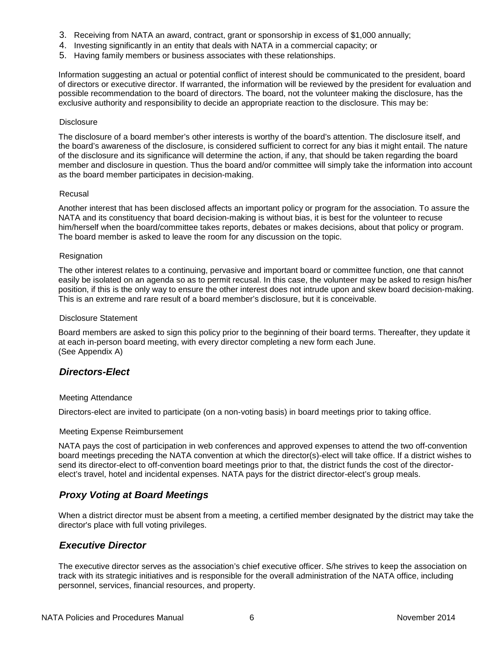- 3. Receiving from NATA an award, contract, grant or sponsorship in excess of \$1,000 annually;
- 4. Investing significantly in an entity that deals with NATA in a commercial capacity; or
- 5. Having family members or business associates with these relationships.

Information suggesting an actual or potential conflict of interest should be communicated to the president, board of directors or executive director. If warranted, the information will be reviewed by the president for evaluation and possible recommendation to the board of directors. The board, not the volunteer making the disclosure, has the exclusive authority and responsibility to decide an appropriate reaction to the disclosure. This may be:

#### **Disclosure**

The disclosure of a board member's other interests is worthy of the board's attention. The disclosure itself, and the board's awareness of the disclosure, is considered sufficient to correct for any bias it might entail. The nature of the disclosure and its significance will determine the action, if any, that should be taken regarding the board member and disclosure in question. Thus the board and/or committee will simply take the information into account as the board member participates in decision-making.

#### Recusal

Another interest that has been disclosed affects an important policy or program for the association. To assure the NATA and its constituency that board decision-making is without bias, it is best for the volunteer to recuse him/herself when the board/committee takes reports, debates or makes decisions, about that policy or program. The board member is asked to leave the room for any discussion on the topic.

#### **Resignation**

The other interest relates to a continuing, pervasive and important board or committee function, one that cannot easily be isolated on an agenda so as to permit recusal. In this case, the volunteer may be asked to resign his/her position, if this is the only way to ensure the other interest does not intrude upon and skew board decision-making. This is an extreme and rare result of a board member's disclosure, but it is conceivable.

#### Disclosure Statement

Board members are asked to sign this policy prior to the beginning of their board terms. Thereafter, they update it at each in-person board meeting, with every director completing a new form each June. (See Appendix A)

## <span id="page-5-0"></span>*Directors-Elect*

### Meeting Attendance

Directors-elect are invited to participate (on a non-voting basis) in board meetings prior to taking office.

#### Meeting Expense Reimbursement

NATA pays the cost of participation in web conferences and approved expenses to attend the two off-convention board meetings preceding the NATA convention at which the director(s)-elect will take office. If a district wishes to send its director-elect to off-convention board meetings prior to that, the district funds the cost of the directorelect's travel, hotel and incidental expenses. NATA pays for the district director-elect's group meals.

## <span id="page-5-1"></span>*Proxy Voting at Board Meetings*

When a district director must be absent from a meeting, a certified member designated by the district may take the director's place with full voting privileges.

## <span id="page-5-2"></span>*Executive Director*

The executive director serves as the association's chief executive officer. S/he strives to keep the association on track with its strategic initiatives and is responsible for the overall administration of the NATA office, including personnel, services, financial resources, and property.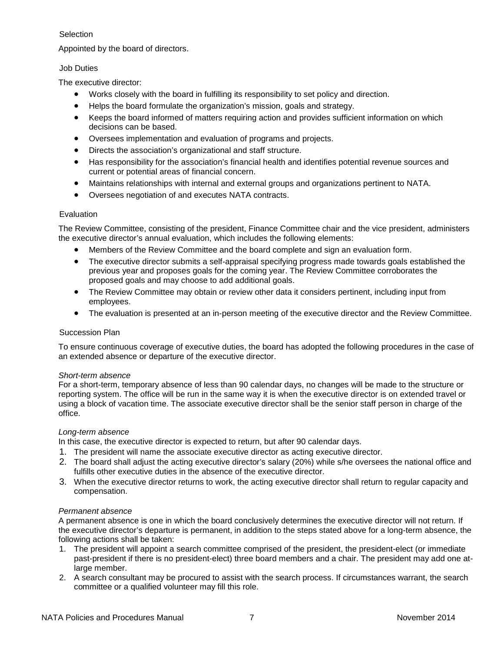## Selection

Appointed by the board of directors.

## Job Duties

The executive director:

- Works closely with the board in fulfilling its responsibility to set policy and direction.
- Helps the board formulate the organization's mission, goals and strategy.
- Keeps the board informed of matters requiring action and provides sufficient information on which decisions can be based.
- Oversees implementation and evaluation of programs and projects.
- Directs the association's organizational and staff structure.
- Has responsibility for the association's financial health and identifies potential revenue sources and current or potential areas of financial concern.
- Maintains relationships with internal and external groups and organizations pertinent to NATA.
- Oversees negotiation of and executes NATA contracts.

## Evaluation

The Review Committee, consisting of the president, Finance Committee chair and the vice president, administers the executive director's annual evaluation, which includes the following elements:

- Members of the Review Committee and the board complete and sign an evaluation form.
- The executive director submits a self-appraisal specifying progress made towards goals established the previous year and proposes goals for the coming year. The Review Committee corroborates the proposed goals and may choose to add additional goals.
- The Review Committee may obtain or review other data it considers pertinent, including input from employees.
- The evaluation is presented at an in-person meeting of the executive director and the Review Committee.

## Succession Plan

To ensure continuous coverage of executive duties, the board has adopted the following procedures in the case of an extended absence or departure of the executive director.

### *Short-term absence*

For a short-term, temporary absence of less than 90 calendar days, no changes will be made to the structure or reporting system. The office will be run in the same way it is when the executive director is on extended travel or using a block of vacation time. The associate executive director shall be the senior staff person in charge of the office.

### *Long-term absence*

In this case, the executive director is expected to return, but after 90 calendar days.

- 1. The president will name the associate executive director as acting executive director.
- 2. The board shall adjust the acting executive director's salary (20%) while s/he oversees the national office and fulfills other executive duties in the absence of the executive director.
- 3. When the executive director returns to work, the acting executive director shall return to regular capacity and compensation.

### *Permanent absence*

A permanent absence is one in which the board conclusively determines the executive director will not return. If the executive director's departure is permanent, in addition to the steps stated above for a long-term absence, the following actions shall be taken:

- 1. The president will appoint a search committee comprised of the president, the president-elect (or immediate past-president if there is no president-elect) three board members and a chair. The president may add one atlarge member.
- 2. A search consultant may be procured to assist with the search process. If circumstances warrant, the search committee or a qualified volunteer may fill this role.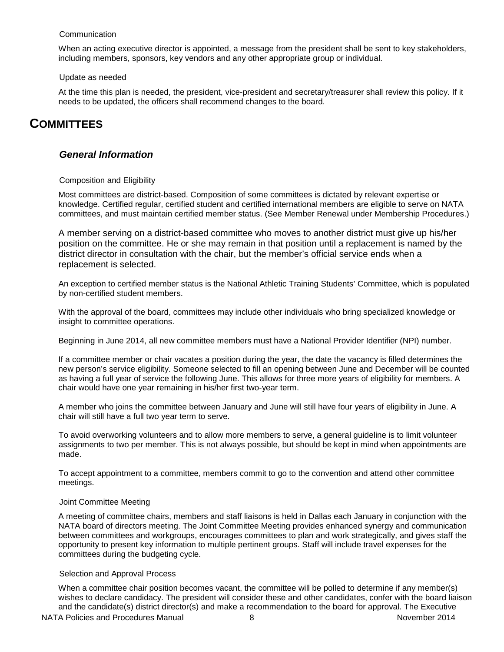#### **Communication**

When an acting executive director is appointed, a message from the president shall be sent to key stakeholders, including members, sponsors, key vendors and any other appropriate group or individual.

#### Update as needed

At the time this plan is needed, the president, vice-president and secretary/treasurer shall review this policy. If it needs to be updated, the officers shall recommend changes to the board.

# <span id="page-7-1"></span><span id="page-7-0"></span>**COMMITTEES**

## *General Information*

### Composition and Eligibility

Most committees are district-based. Composition of some committees is dictated by relevant expertise or knowledge. Certified regular, certified student and certified international members are eligible to serve on NATA committees, and must maintain certified member status. (See Member Renewal under Membership Procedures.)

A member serving on a district-based committee who moves to another district must give up his/her position on the committee. He or she may remain in that position until a replacement is named by the district director in consultation with the chair, but the member's official service ends when a replacement is selected.

An exception to certified member status is the National Athletic Training Students' Committee, which is populated by non-certified student members.

With the approval of the board, committees may include other individuals who bring specialized knowledge or insight to committee operations.

Beginning in June 2014, all new committee members must have a National Provider Identifier (NPI) number.

If a committee member or chair vacates a position during the year, the date the vacancy is filled determines the new person's service eligibility. Someone selected to fill an opening between June and December will be counted as having a full year of service the following June. This allows for three more years of eligibility for members. A chair would have one year remaining in his/her first two-year term.

A member who joins the committee between January and June will still have four years of eligibility in June. A chair will still have a full two year term to serve.

To avoid overworking volunteers and to allow more members to serve, a general guideline is to limit volunteer assignments to two per member. This is not always possible, but should be kept in mind when appointments are made.

To accept appointment to a committee, members commit to go to the convention and attend other committee meetings.

### Joint Committee Meeting

A meeting of committee chairs, members and staff liaisons is held in Dallas each January in conjunction with the NATA board of directors meeting. The Joint Committee Meeting provides enhanced synergy and communication between committees and workgroups, encourages committees to plan and work strategically, and gives staff the opportunity to present key information to multiple pertinent groups. Staff will include travel expenses for the committees during the budgeting cycle.

### Selection and Approval Process

When a committee chair position becomes vacant, the committee will be polled to determine if any member(s) wishes to declare candidacy. The president will consider these and other candidates, confer with the board liaison and the candidate(s) district director(s) and make a recommendation to the board for approval. The Executive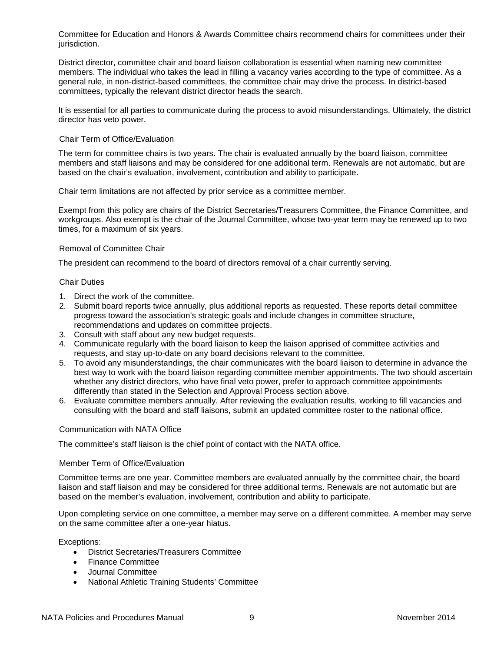Committee for Education and Honors & Awards Committee chairs recommend chairs for committees under their jurisdiction.

District director, committee chair and board liaison collaboration is essential when naming new committee members. The individual who takes the lead in filling a vacancy varies according to the type of committee. As a general rule, in non-district-based committees, the committee chair may drive the process. In district-based committees, typically the relevant district director heads the search.

It is essential for all parties to communicate during the process to avoid misunderstandings. Ultimately, the district director has veto power.

#### Chair Term of Office/Evaluation

The term for committee chairs is two years. The chair is evaluated annually by the board liaison, committee members and staff liaisons and may be considered for one additional term. Renewals are not automatic, but are based on the chair's evaluation, involvement, contribution and ability to participate.

Chair term limitations are not affected by prior service as a committee member.

Exempt from this policy are chairs of the District Secretaries/Treasurers Committee, the Finance Committee, and workgroups. Also exempt is the chair of the Journal Committee, whose two-year term may be renewed up to two times, for a maximum of six years.

#### Removal of Committee Chair

The president can recommend to the board of directors removal of a chair currently serving.

#### Chair Duties

- 1. Direct the work of the committee.
- 2. Submit board reports twice annually, plus additional reports as requested. These reports detail committee progress toward the association's strategic goals and include changes in committee structure, recommendations and updates on committee projects.
- 3. Consult with staff about any new budget requests.
- 4. Communicate regularly with the board liaison to keep the liaison apprised of committee activities and requests, and stay up-to-date on any board decisions relevant to the committee.
- 5. To avoid any misunderstandings, the chair communicates with the board liaison to determine in advance the best way to work with the board liaison regarding committee member appointments. The two should ascertain whether any district directors, who have final veto power, prefer to approach committee appointments differently than stated in the Selection and Approval Process section above.
- 6. Evaluate committee members annually. After reviewing the evaluation results, working to fill vacancies and consulting with the board and staff liaisons, submit an updated committee roster to the national office.

### Communication with NATA Office

The committee's staff liaison is the chief point of contact with the NATA office.

#### Member Term of Office/Evaluation

Committee terms are one year. Committee members are evaluated annually by the committee chair, the board liaison and staff liaison and may be considered for three additional terms. Renewals are not automatic but are based on the member's evaluation, involvement, contribution and ability to participate.

Upon completing service on one committee, a member may serve on a different committee. A member may serve on the same committee after a one-year hiatus.

Exceptions:

- District Secretaries/Treasurers Committee
- Finance Committee
- Journal Committee
- National Athletic Training Students' Committee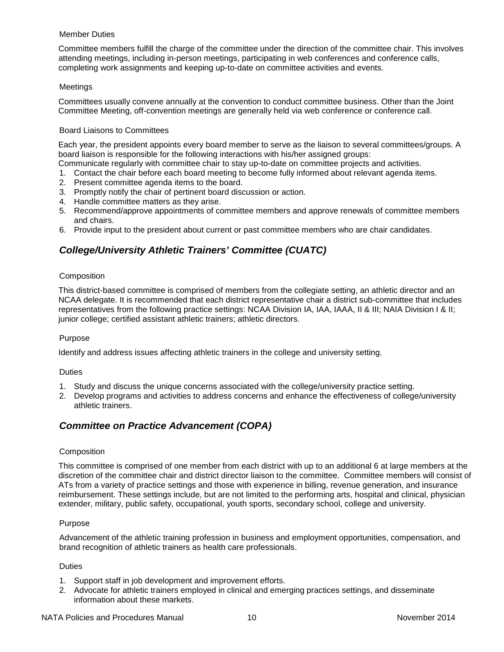### Member Duties

Committee members fulfill the charge of the committee under the direction of the committee chair. This involves attending meetings, including in-person meetings, participating in web conferences and conference calls, completing work assignments and keeping up-to-date on committee activities and events.

## Meetings

Committees usually convene annually at the convention to conduct committee business. Other than the Joint Committee Meeting, off-convention meetings are generally held via web conference or conference call.

### Board Liaisons to Committees

Each year, the president appoints every board member to serve as the liaison to several committees/groups. A board liaison is responsible for the following interactions with his/her assigned groups:

- Communicate regularly with committee chair to stay up-to-date on committee projects and activities.
- 1. Contact the chair before each board meeting to become fully informed about relevant agenda items.
- 2. Present committee agenda items to the board.
- 3. Promptly notify the chair of pertinent board discussion or action.
- 4. Handle committee matters as they arise.
- 5. Recommend/approve appointments of committee members and approve renewals of committee members and chairs.
- <span id="page-9-0"></span>6. Provide input to the president about current or past committee members who are chair candidates.

# *College/University Athletic Trainers' Committee (CUATC)*

## **Composition**

This district-based committee is comprised of members from the collegiate setting, an athletic director and an NCAA delegate. It is recommended that each district representative chair a district sub-committee that includes representatives from the following practice settings: NCAA Division IA, IAA, IAAA, II & III; NAIA Division I & II; junior college; certified assistant athletic trainers; athletic directors.

### Purpose

Identify and address issues affecting athletic trainers in the college and university setting.

### **Duties**

- 1. Study and discuss the unique concerns associated with the college/university practice setting.
- 2. Develop programs and activities to address concerns and enhance the effectiveness of college/university athletic trainers.

# <span id="page-9-1"></span>*Committee on Practice Advancement (COPA)*

### **Composition**

This committee is comprised of one member from each district with up to an additional 6 at large members at the discretion of the committee chair and district director liaison to the committee. Committee members will consist of ATs from a variety of practice settings and those with experience in billing, revenue generation, and insurance reimbursement. These settings include, but are not limited to the performing arts, hospital and clinical, physician extender, military, public safety, occupational, youth sports, secondary school, college and university.

### Purpose

Advancement of the athletic training profession in business and employment opportunities, compensation, and brand recognition of athletic trainers as health care professionals.

### **Duties**

- 1. Support staff in job development and improvement efforts.
- 2. Advocate for athletic trainers employed in clinical and emerging practices settings, and disseminate information about these markets.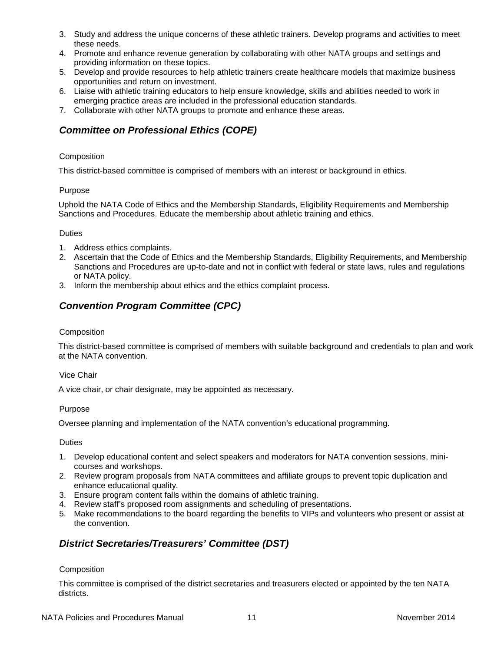- 3. Study and address the unique concerns of these athletic trainers. Develop programs and activities to meet these needs.
- 4. Promote and enhance revenue generation by collaborating with other NATA groups and settings and providing information on these topics.
- 5. Develop and provide resources to help athletic trainers create healthcare models that maximize business opportunities and return on investment.
- 6. Liaise with athletic training educators to help ensure knowledge, skills and abilities needed to work in emerging practice areas are included in the professional education standards.
- <span id="page-10-0"></span>7. Collaborate with other NATA groups to promote and enhance these areas.

# *Committee on Professional Ethics (COPE)*

## Composition

This district-based committee is comprised of members with an interest or background in ethics.

## Purpose

Uphold the NATA Code of Ethics and the Membership Standards, Eligibility Requirements and Membership Sanctions and Procedures. Educate the membership about athletic training and ethics.

## Duties

- 1. Address ethics complaints.
- 2. Ascertain that the Code of Ethics and the Membership Standards, Eligibility Requirements, and Membership Sanctions and Procedures are up-to-date and not in conflict with federal or state laws, rules and regulations or NATA policy.
- <span id="page-10-1"></span>3. Inform the membership about ethics and the ethics complaint process.

# *Convention Program Committee (CPC)*

## **Composition**

This district-based committee is comprised of members with suitable background and credentials to plan and work at the NATA convention.

### Vice Chair

A vice chair, or chair designate, may be appointed as necessary.

### Purpose

Oversee planning and implementation of the NATA convention's educational programming.

### Duties

- 1. Develop educational content and select speakers and moderators for NATA convention sessions, minicourses and workshops.
- 2. Review program proposals from NATA committees and affiliate groups to prevent topic duplication and enhance educational quality.
- 3. Ensure program content falls within the domains of athletic training.
- 4. Review staff's proposed room assignments and scheduling of presentations.
- 5. Make recommendations to the board regarding the benefits to VIPs and volunteers who present or assist at the convention.

# <span id="page-10-2"></span>*District Secretaries/Treasurers' Committee (DST)*

### Composition

This committee is comprised of the district secretaries and treasurers elected or appointed by the ten NATA districts.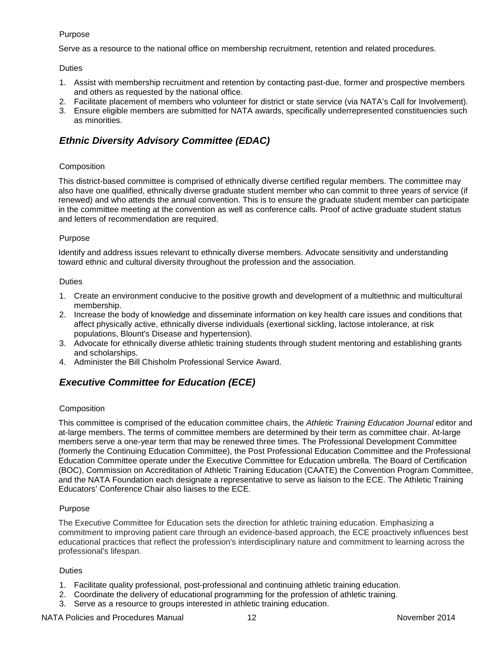## Purpose

Serve as a resource to the national office on membership recruitment, retention and related procedures.

## **Duties**

- 1. Assist with membership recruitment and retention by contacting past-due, former and prospective members and others as requested by the national office.
- 2. Facilitate placement of members who volunteer for district or state service (via NATA's Call for Involvement).
- 3. Ensure eligible members are submitted for NATA awards, specifically underrepresented constituencies such as minorities.

# <span id="page-11-0"></span>*Ethnic Diversity Advisory Committee (EDAC)*

## **Composition**

This district-based committee is comprised of ethnically diverse certified regular members. The committee may also have one qualified, ethnically diverse graduate student member who can commit to three years of service (if renewed) and who attends the annual convention. This is to ensure the graduate student member can participate in the committee meeting at the convention as well as conference calls. Proof of active graduate student status and letters of recommendation are required.

## Purpose

Identify and address issues relevant to ethnically diverse members. Advocate sensitivity and understanding toward ethnic and cultural diversity throughout the profession and the association.

### Duties

- 1. Create an environment conducive to the positive growth and development of a multiethnic and multicultural membership.
- 2. Increase the body of knowledge and disseminate information on key health care issues and conditions that affect physically active, ethnically diverse individuals (exertional sickling, lactose intolerance, at risk populations, Blount's Disease and hypertension).
- 3. Advocate for ethnically diverse athletic training students through student mentoring and establishing grants and scholarships.
- <span id="page-11-1"></span>4. Administer the Bill Chisholm Professional Service Award.

# *Executive Committee for Education (ECE)*

### **Composition**

This committee is comprised of the education committee chairs, the *Athletic Training Education Journal* editor and at-large members. The terms of committee members are determined by their term as committee chair. At-large members serve a one-year term that may be renewed three times. The Professional Development Committee (formerly the Continuing Education Committee), the Post Professional Education Committee and the Professional Education Committee operate under the Executive Committee for Education umbrella. The Board of Certification (BOC), Commission on Accreditation of Athletic Training Education (CAATE) the Convention Program Committee, and the NATA Foundation each designate a representative to serve as liaison to the ECE. The Athletic Training Educators' Conference Chair also liaises to the ECE.

### Purpose

The Executive Committee for Education sets the direction for athletic training education. Emphasizing a commitment to improving patient care through an evidence-based approach, the ECE proactively influences best educational practices that reflect the profession's interdisciplinary nature and commitment to learning across the professional's lifespan.

### **Duties**

- 1. Facilitate quality professional, post-professional and continuing athletic training education.
- 2. Coordinate the delivery of educational programming for the profession of athletic training.
- 3. Serve as a resource to groups interested in athletic training education.

### NATA Policies and Procedures Manual 12 12 November 2014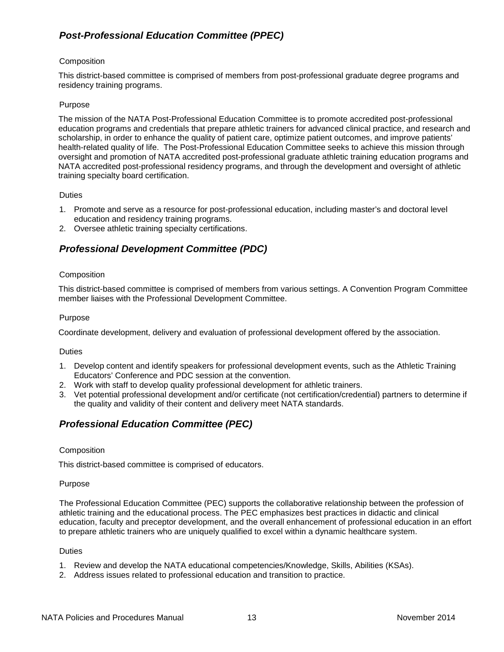# <span id="page-12-0"></span>*Post-Professional Education Committee (PPEC)*

## **Composition**

This district-based committee is comprised of members from post-professional graduate degree programs and residency training programs.

### Purpose

The mission of the NATA Post-Professional Education Committee is to promote accredited post-professional education programs and credentials that prepare athletic trainers for advanced clinical practice, and research and scholarship, in order to enhance the quality of patient care, optimize patient outcomes, and improve patients' health-related quality of life. The Post-Professional Education Committee seeks to achieve this mission through oversight and promotion of NATA accredited post-professional graduate athletic training education programs and NATA accredited post-professional residency programs, and through the development and oversight of athletic training specialty board certification.

### **Duties**

- 1. Promote and serve as a resource for post-professional education, including master's and doctoral level education and residency training programs.
- <span id="page-12-1"></span>2. Oversee athletic training specialty certifications.

# *Professional Development Committee (PDC)*

## **Composition**

This district-based committee is comprised of members from various settings. A Convention Program Committee member liaises with the Professional Development Committee.

### Purpose

Coordinate development, delivery and evaluation of professional development offered by the association.

**Duties** 

- 1. Develop content and identify speakers for professional development events, such as the Athletic Training Educators' Conference and PDC session at the convention.
- 2. Work with staff to develop quality professional development for athletic trainers.
- 3. Vet potential professional development and/or certificate (not certification/credential) partners to determine if the quality and validity of their content and delivery meet NATA standards.

# <span id="page-12-2"></span>*Professional Education Committee (PEC)*

### **Composition**

This district-based committee is comprised of educators.

### Purpose

The Professional Education Committee (PEC) supports the collaborative relationship between the profession of athletic training and the educational process. The PEC emphasizes best practices in didactic and clinical education, faculty and preceptor development, and the overall enhancement of professional education in an effort to prepare athletic trainers who are uniquely qualified to excel within a dynamic healthcare system.

### **Duties**

- 1. Review and develop the NATA educational competencies/Knowledge, Skills, Abilities (KSAs).
- 2. Address issues related to professional education and transition to practice.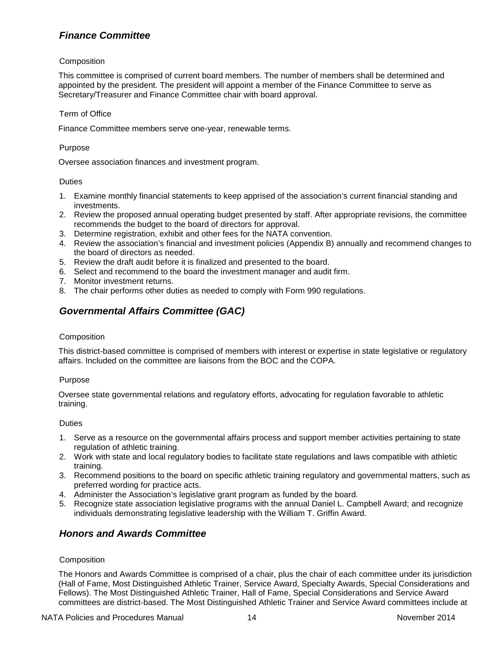# <span id="page-13-0"></span>*Finance Committee*

## Composition

This committee is comprised of current board members. The number of members shall be determined and appointed by the president. The president will appoint a member of the Finance Committee to serve as Secretary/Treasurer and Finance Committee chair with board approval.

### Term of Office

Finance Committee members serve one-year, renewable terms.

### Purpose

Oversee association finances and investment program.

## **Duties**

- 1. Examine monthly financial statements to keep apprised of the association's current financial standing and investments.
- 2. Review the proposed annual operating budget presented by staff. After appropriate revisions, the committee recommends the budget to the board of directors for approval.
- 3. Determine registration, exhibit and other fees for the NATA convention.
- 4. Review the association's financial and investment policies (Appendix B) annually and recommend changes to the board of directors as needed.
- 5. Review the draft audit before it is finalized and presented to the board.
- 6. Select and recommend to the board the investment manager and audit firm.
- 7. Monitor investment returns.
- <span id="page-13-1"></span>8. The chair performs other duties as needed to comply with Form 990 regulations.

# *Governmental Affairs Committee (GAC)*

### **Composition**

This district-based committee is comprised of members with interest or expertise in state legislative or regulatory affairs. Included on the committee are liaisons from the BOC and the COPA.

### Purpose

Oversee state governmental relations and regulatory efforts, advocating for regulation favorable to athletic training.

### **Duties**

- 1. Serve as a resource on the governmental affairs process and support member activities pertaining to state regulation of athletic training.
- 2. Work with state and local regulatory bodies to facilitate state regulations and laws compatible with athletic training.
- 3. Recommend positions to the board on specific athletic training regulatory and governmental matters, such as preferred wording for practice acts.
- 4. Administer the Association's legislative grant program as funded by the board.
- 5. Recognize state association legislative programs with the annual Daniel L. Campbell Award; and recognize individuals demonstrating legislative leadership with the William T. Griffin Award.

# <span id="page-13-2"></span>*Honors and Awards Committee*

### **Composition**

The Honors and Awards Committee is comprised of a chair, plus the chair of each committee under its jurisdiction (Hall of Fame, Most Distinguished Athletic Trainer, Service Award, Specialty Awards, Special Considerations and Fellows). The Most Distinguished Athletic Trainer, Hall of Fame, Special Considerations and Service Award committees are district-based. The Most Distinguished Athletic Trainer and Service Award committees include at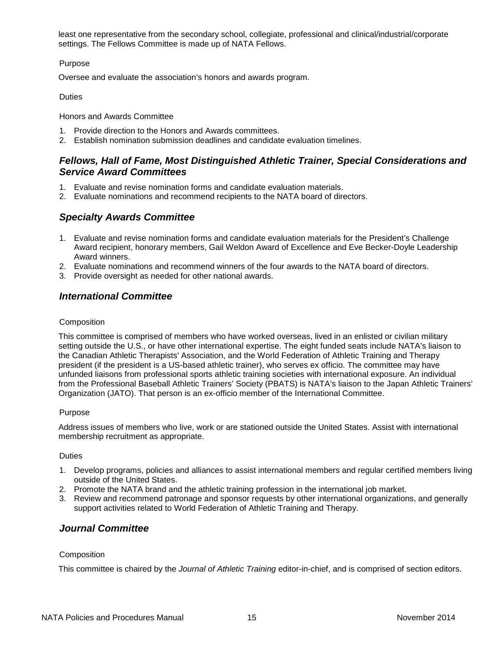least one representative from the secondary school, collegiate, professional and clinical/industrial/corporate settings. The Fellows Committee is made up of NATA Fellows.

## Purpose

Oversee and evaluate the association's honors and awards program.

**Duties** 

Honors and Awards Committee

- 1. Provide direction to the Honors and Awards committees.
- <span id="page-14-0"></span>2. Establish nomination submission deadlines and candidate evaluation timelines.

# *Fellows, Hall of Fame, Most Distinguished Athletic Trainer, Special Considerations and Service Award Committees*

- 1. Evaluate and revise nomination forms and candidate evaluation materials.
- <span id="page-14-1"></span>2. Evaluate nominations and recommend recipients to the NATA board of directors.

# *Specialty Awards Committee*

- 1. Evaluate and revise nomination forms and candidate evaluation materials for the President's Challenge Award recipient, honorary members, Gail Weldon Award of Excellence and Eve Becker-Doyle Leadership Award winners.
- 2. Evaluate nominations and recommend winners of the four awards to the NATA board of directors.
- <span id="page-14-2"></span>3. Provide oversight as needed for other national awards.

# *International Committee*

## **Composition**

This committee is comprised of members who have worked overseas, lived in an enlisted or civilian military setting outside the U.S., or have other international expertise. The eight funded seats include NATA's liaison to the Canadian Athletic Therapists' Association, and the World Federation of Athletic Training and Therapy president (if the president is a US-based athletic trainer), who serves ex officio. The committee may have unfunded liaisons from professional sports athletic training societies with international exposure. An individual from the Professional Baseball Athletic Trainers' Society (PBATS) is NATA's liaison to the Japan Athletic Trainers' Organization (JATO). That person is an ex-officio member of the International Committee.

### Purpose

Address issues of members who live, work or are stationed outside the United States. Assist with international membership recruitment as appropriate.

### **Duties**

- 1. Develop programs, policies and alliances to assist international members and regular certified members living outside of the United States.
- 2. Promote the NATA brand and the athletic training profession in the international job market.
- 3. Review and recommend patronage and sponsor requests by other international organizations, and generally support activities related to World Federation of Athletic Training and Therapy.

## <span id="page-14-3"></span>*Journal Committee*

### **Composition**

This committee is chaired by the *Journal of Athletic Training* editor-in-chief, and is comprised of section editors.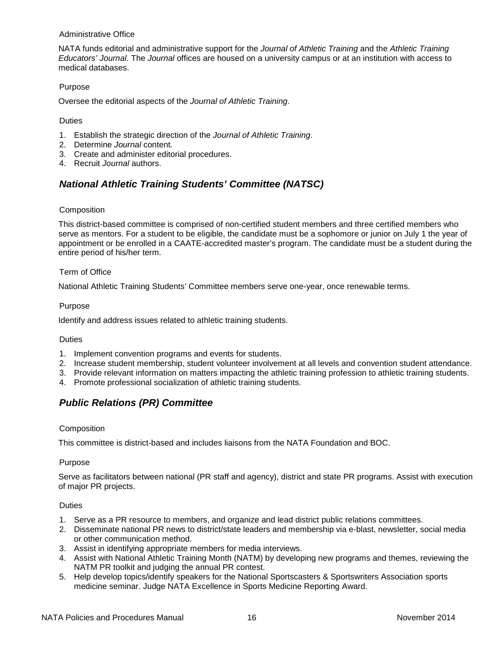#### Administrative Office

NATA funds editorial and administrative support for the *Journal of Athletic Training* and the *Athletic Training Educators' Journal*. The *Journal* offices are housed on a university campus or at an institution with access to medical databases.

### Purpose

Oversee the editorial aspects of the *Journal of Athletic Training*.

#### Duties

- 1. Establish the strategic direction of the *Journal of Athletic Training*.
- 2. Determine *Journal* content*.*
- 3. Create and administer editorial procedures.
- <span id="page-15-0"></span>4. Recruit *Journal* authors.

# *National Athletic Training Students' Committee (NATSC)*

### **Composition**

This district-based committee is comprised of non-certified student members and three certified members who serve as mentors. For a student to be eligible, the candidate must be a sophomore or junior on July 1 the year of appointment or be enrolled in a CAATE-accredited master's program. The candidate must be a student during the entire period of his/her term.

#### Term of Office

National Athletic Training Students' Committee members serve one-year, once renewable terms.

#### Purpose

Identify and address issues related to athletic training students.

### Duties

- 1. Implement convention programs and events for students.
- 2. Increase student membership, student volunteer involvement at all levels and convention student attendance.
- 3. Provide relevant information on matters impacting the athletic training profession to athletic training students.
- <span id="page-15-1"></span>4. Promote professional socialization of athletic training students.

# *Public Relations (PR) Committee*

### Composition

This committee is district-based and includes liaisons from the NATA Foundation and BOC.

#### Purpose

Serve as facilitators between national (PR staff and agency), district and state PR programs. Assist with execution of major PR projects.

#### Duties

- 1. Serve as a PR resource to members, and organize and lead district public relations committees.
- 2. Disseminate national PR news to district/state leaders and membership via e-blast, newsletter, social media or other communication method.
- 3. Assist in identifying appropriate members for media interviews.
- 4. Assist with National Athletic Training Month (NATM) by developing new programs and themes, reviewing the NATM PR toolkit and judging the annual PR contest.
- 5. Help develop topics/identify speakers for the National Sportscasters & Sportswriters Association sports medicine seminar. Judge NATA Excellence in Sports Medicine Reporting Award.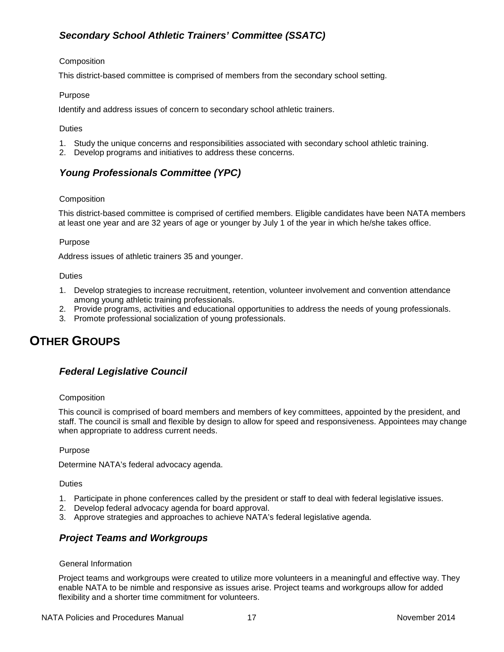# <span id="page-16-0"></span>*Secondary School Athletic Trainers' Committee (SSATC)*

## Composition

This district-based committee is comprised of members from the secondary school setting.

## Purpose

Identify and address issues of concern to secondary school athletic trainers.

## **Duties**

- 1. Study the unique concerns and responsibilities associated with secondary school athletic training.
- <span id="page-16-1"></span>2. Develop programs and initiatives to address these concerns.

# *Young Professionals Committee (YPC)*

## Composition

This district-based committee is comprised of certified members. Eligible candidates have been NATA members at least one year and are 32 years of age or younger by July 1 of the year in which he/she takes office.

## Purpose

Address issues of athletic trainers 35 and younger.

## **Duties**

- 1. Develop strategies to increase recruitment, retention, volunteer involvement and convention attendance among young athletic training professionals.
- 2. Provide programs, activities and educational opportunities to address the needs of young professionals.
- 3. Promote professional socialization of young professionals.

# <span id="page-16-3"></span><span id="page-16-2"></span>**OTHER GROUPS**

# *Federal Legislative Council*

### **Composition**

This council is comprised of board members and members of key committees, appointed by the president, and staff. The council is small and flexible by design to allow for speed and responsiveness. Appointees may change when appropriate to address current needs.

### Purpose

Determine NATA's federal advocacy agenda.

### Duties

- 1. Participate in phone conferences called by the president or staff to deal with federal legislative issues.
- 2. Develop federal advocacy agenda for board approval.
- <span id="page-16-4"></span>3. Approve strategies and approaches to achieve NATA's federal legislative agenda.

## *Project Teams and Workgroups*

### General Information

Project teams and workgroups were created to utilize more volunteers in a meaningful and effective way. They enable NATA to be nimble and responsive as issues arise. Project teams and workgroups allow for added flexibility and a shorter time commitment for volunteers.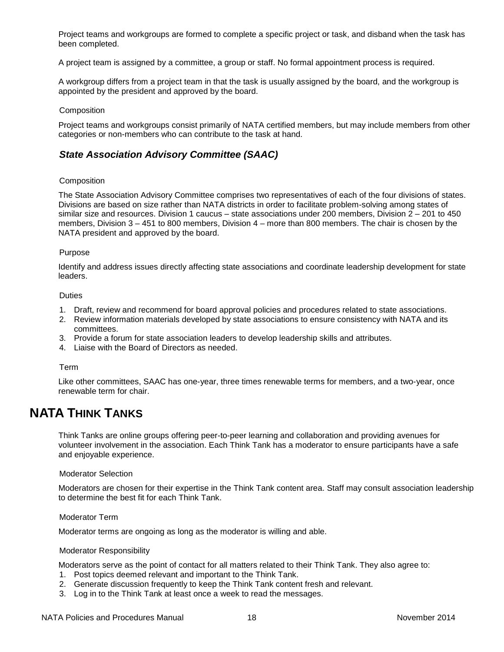Project teams and workgroups are formed to complete a specific project or task, and disband when the task has been completed.

A project team is assigned by a committee, a group or staff. No formal appointment process is required.

A workgroup differs from a project team in that the task is usually assigned by the board, and the workgroup is appointed by the president and approved by the board.

#### **Composition**

Project teams and workgroups consist primarily of NATA certified members, but may include members from other categories or non-members who can contribute to the task at hand.

# <span id="page-17-0"></span>*State Association Advisory Committee (SAAC)*

#### Composition

The State Association Advisory Committee comprises two representatives of each of the four divisions of states. Divisions are based on size rather than NATA districts in order to facilitate problem-solving among states of similar size and resources. Division 1 caucus – state associations under 200 members, Division 2 – 201 to 450 members, Division 3 – 451 to 800 members, Division 4 – more than 800 members. The chair is chosen by the NATA president and approved by the board.

#### Purpose

Identify and address issues directly affecting state associations and coordinate leadership development for state leaders.

#### **Duties**

- 1. Draft, review and recommend for board approval policies and procedures related to state associations.
- 2. Review information materials developed by state associations to ensure consistency with NATA and its committees.
- 3. Provide a forum for state association leaders to develop leadership skills and attributes.
- 4. Liaise with the Board of Directors as needed.

#### Term

Like other committees, SAAC has one-year, three times renewable terms for members, and a two-year, once renewable term for chair.

# <span id="page-17-1"></span>**NATA THINK TANKS**

Think Tanks are online groups offering peer-to-peer learning and collaboration and providing avenues for volunteer involvement in the association. Each Think Tank has a moderator to ensure participants have a safe and enjoyable experience.

#### Moderator Selection

Moderators are chosen for their expertise in the Think Tank content area. Staff may consult association leadership to determine the best fit for each Think Tank.

#### Moderator Term

Moderator terms are ongoing as long as the moderator is willing and able.

#### Moderator Responsibility

Moderators serve as the point of contact for all matters related to their Think Tank. They also agree to:

- 1. Post topics deemed relevant and important to the Think Tank.
- 2. Generate discussion frequently to keep the Think Tank content fresh and relevant.
- 3. Log in to the Think Tank at least once a week to read the messages.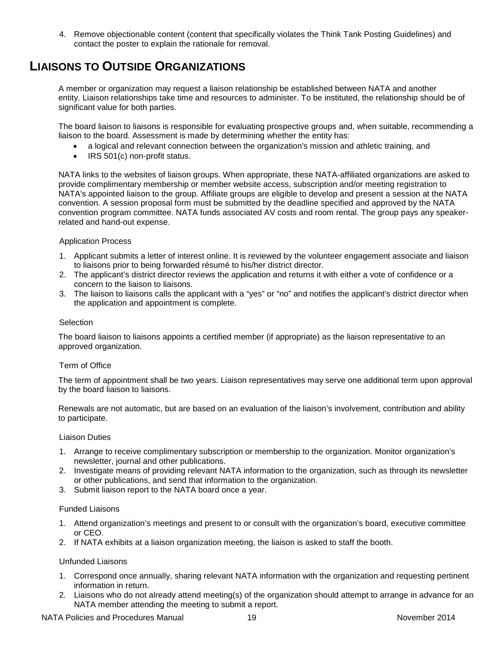4. Remove objectionable content (content that specifically violates the Think Tank Posting Guidelines) and contact the poster to explain the rationale for removal.

# <span id="page-18-0"></span>**LIAISONS TO OUTSIDE ORGANIZATIONS**

A member or organization may request a liaison relationship be established between NATA and another entity. Liaison relationships take time and resources to administer. To be instituted, the relationship should be of significant value for both parties.

The board liaison to liaisons is responsible for evaluating prospective groups and, when suitable, recommending a liaison to the board. Assessment is made by determining whether the entity has:

- a logical and relevant connection between the organization's mission and athletic training, and
- IRS 501(c) non-profit status.

NATA links to the websites of liaison groups. When appropriate, these NATA-affiliated organizations are asked to provide complimentary membership or member website access, subscription and/or meeting registration to NATA's appointed liaison to the group. Affiliate groups are eligible to develop and present a session at the NATA convention. A session proposal form must be submitted by the deadline specified and approved by the NATA convention program committee. NATA funds associated AV costs and room rental. The group pays any speakerrelated and hand-out expense.

### Application Process

- 1. Applicant submits a letter of interest online. It is reviewed by the volunteer engagement associate and liaison to liaisons prior to being forwarded résumé to his/her district director.
- 2. The applicant's district director reviews the application and returns it with either a vote of confidence or a concern to the liaison to liaisons.
- 3. The liaison to liaisons calls the applicant with a "yes" or "no" and notifies the applicant's district director when the application and appointment is complete.

### **Selection**

The board liaison to liaisons appoints a certified member (if appropriate) as the liaison representative to an approved organization.

### Term of Office

The term of appointment shall be two years. Liaison representatives may serve one additional term upon approval by the board liaison to liaisons.

Renewals are not automatic, but are based on an evaluation of the liaison's involvement, contribution and ability to participate.

#### Liaison Duties

- 1. Arrange to receive complimentary subscription or membership to the organization. Monitor organization's newsletter, journal and other publications.
- 2. Investigate means of providing relevant NATA information to the organization, such as through its newsletter or other publications, and send that information to the organization.
- 3. Submit liaison report to the NATA board once a year.

### Funded Liaisons

- 1. Attend organization's meetings and present to or consult with the organization's board, executive committee or CEO.
- 2. If NATA exhibits at a liaison organization meeting, the liaison is asked to staff the booth.

### Unfunded Liaisons

- 1. Correspond once annually, sharing relevant NATA information with the organization and requesting pertinent information in return.
- 2. Liaisons who do not already attend meeting(s) of the organization should attempt to arrange in advance for an NATA member attending the meeting to submit a report.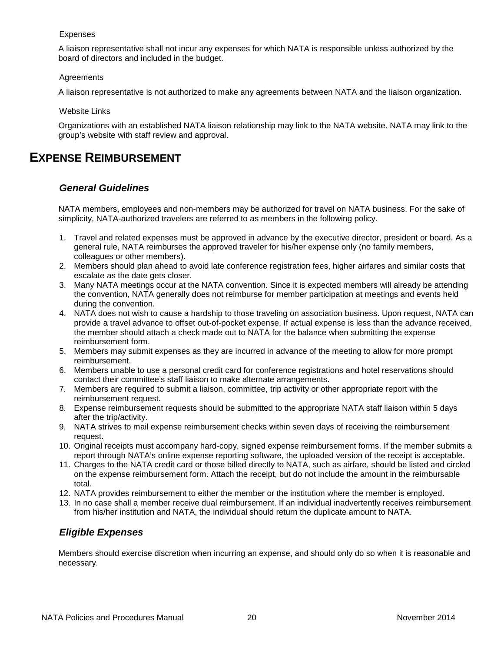### Expenses

A liaison representative shall not incur any expenses for which NATA is responsible unless authorized by the board of directors and included in the budget.

## Agreements

A liaison representative is not authorized to make any agreements between NATA and the liaison organization.

Website Links

Organizations with an established NATA liaison relationship may link to the NATA website. NATA may link to the group's website with staff review and approval.

# <span id="page-19-1"></span><span id="page-19-0"></span>**EXPENSE REIMBURSEMENT**

# *General Guidelines*

NATA members, employees and non-members may be authorized for travel on NATA business. For the sake of simplicity, NATA-authorized travelers are referred to as members in the following policy.

- 1. Travel and related expenses must be approved in advance by the executive director, president or board. As a general rule, NATA reimburses the approved traveler for his/her expense only (no family members, colleagues or other members).
- 2. Members should plan ahead to avoid late conference registration fees, higher airfares and similar costs that escalate as the date gets closer.
- 3. Many NATA meetings occur at the NATA convention. Since it is expected members will already be attending the convention, NATA generally does not reimburse for member participation at meetings and events held during the convention.
- 4. NATA does not wish to cause a hardship to those traveling on association business. Upon request, NATA can provide a travel advance to offset out-of-pocket expense. If actual expense is less than the advance received, the member should attach a check made out to NATA for the balance when submitting the expense reimbursement form.
- 5. Members may submit expenses as they are incurred in advance of the meeting to allow for more prompt reimbursement.
- 6. Members unable to use a personal credit card for conference registrations and hotel reservations should contact their committee's staff liaison to make alternate arrangements.
- 7. Members are required to submit a liaison, committee, trip activity or other appropriate report with the reimbursement request.
- 8. Expense reimbursement requests should be submitted to the appropriate NATA staff liaison within 5 days after the trip/activity.
- 9. NATA strives to mail expense reimbursement checks within seven days of receiving the reimbursement request.
- 10. Original receipts must accompany hard-copy, signed expense reimbursement forms. If the member submits a report through NATA's online expense reporting software, the uploaded version of the receipt is acceptable.
- 11. Charges to the NATA credit card or those billed directly to NATA, such as airfare, should be listed and circled on the expense reimbursement form. Attach the receipt, but do not include the amount in the reimbursable total.
- 12. NATA provides reimbursement to either the member or the institution where the member is employed.
- 13. In no case shall a member receive dual reimbursement. If an individual inadvertently receives reimbursement from his/her institution and NATA, the individual should return the duplicate amount to NATA.

# <span id="page-19-2"></span>*Eligible Expenses*

Members should exercise discretion when incurring an expense, and should only do so when it is reasonable and necessary.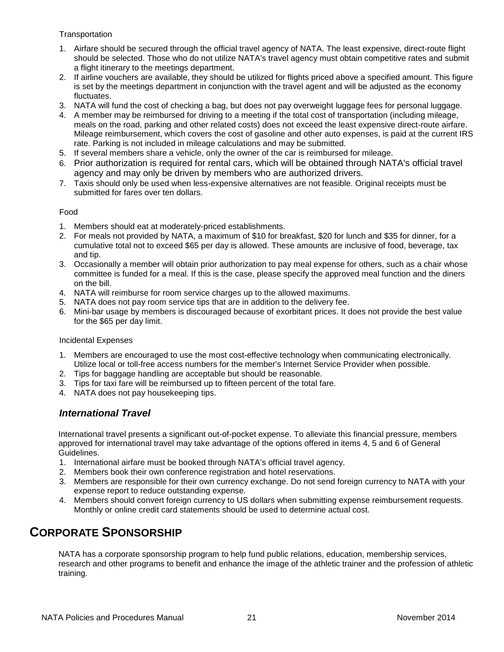**Transportation** 

- 1. Airfare should be secured through the official travel agency of NATA. The least expensive, direct-route flight should be selected. Those who do not utilize NATA's travel agency must obtain competitive rates and submit a flight itinerary to the meetings department.
- 2. If airline vouchers are available, they should be utilized for flights priced above a specified amount. This figure is set by the meetings department in conjunction with the travel agent and will be adjusted as the economy fluctuates.
- 3. NATA will fund the cost of checking a bag, but does not pay overweight luggage fees for personal luggage.
- 4. A member may be reimbursed for driving to a meeting if the total cost of transportation (including mileage, meals on the road, parking and other related costs) does not exceed the least expensive direct-route airfare. Mileage reimbursement, which covers the cost of gasoline and other auto expenses, is paid at the current IRS rate. Parking is not included in mileage calculations and may be submitted.
- 5. If several members share a vehicle, only the owner of the car is reimbursed for mileage.
- 6. Prior authorization is required for rental cars, which will be obtained through NATA's official travel agency and may only be driven by members who are authorized drivers.
- 7. Taxis should only be used when less-expensive alternatives are not feasible. Original receipts must be submitted for fares over ten dollars.

## Food

- 1. Members should eat at moderately-priced establishments.
- 2. For meals not provided by NATA, a maximum of \$10 for breakfast, \$20 for lunch and \$35 for dinner, for a cumulative total not to exceed \$65 per day is allowed. These amounts are inclusive of food, beverage, tax and tip.
- 3. Occasionally a member will obtain prior authorization to pay meal expense for others, such as a chair whose committee is funded for a meal. If this is the case, please specify the approved meal function and the diners on the bill.
- 4. NATA will reimburse for room service charges up to the allowed maximums.
- 5. NATA does not pay room service tips that are in addition to the delivery fee.
- 6. Mini-bar usage by members is discouraged because of exorbitant prices. It does not provide the best value for the \$65 per day limit.

### Incidental Expenses

- 1. Members are encouraged to use the most cost-effective technology when communicating electronically. Utilize local or toll-free access numbers for the member's Internet Service Provider when possible.
- 2. Tips for baggage handling are acceptable but should be reasonable.
- 3. Tips for taxi fare will be reimbursed up to fifteen percent of the total fare.
- <span id="page-20-0"></span>4. NATA does not pay housekeeping tips.

## *International Travel*

International travel presents a significant out-of-pocket expense. To alleviate this financial pressure, members approved for international travel may take advantage of the options offered in items 4, 5 and 6 of General Guidelines.

- 1. International airfare must be booked through NATA's official travel agency.
- 2. Members book their own conference registration and hotel reservations.
- 3. Members are responsible for their own currency exchange. Do not send foreign currency to NATA with your expense report to reduce outstanding expense.
- 4. Members should convert foreign currency to US dollars when submitting expense reimbursement requests. Monthly or online credit card statements should be used to determine actual cost.

# <span id="page-20-1"></span>**CORPORATE SPONSORSHIP**

NATA has a corporate sponsorship program to help fund public relations, education, membership services, research and other programs to benefit and enhance the image of the athletic trainer and the profession of athletic training.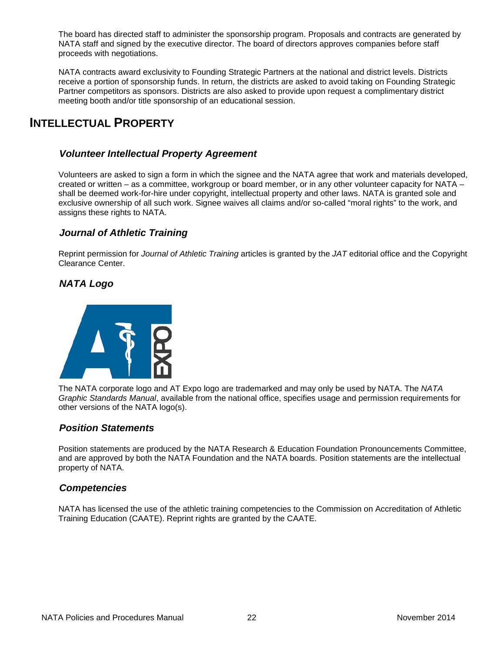The board has directed staff to administer the sponsorship program. Proposals and contracts are generated by NATA staff and signed by the executive director. The board of directors approves companies before staff proceeds with negotiations.

NATA contracts award exclusivity to Founding Strategic Partners at the national and district levels. Districts receive a portion of sponsorship funds. In return, the districts are asked to avoid taking on Founding Strategic Partner competitors as sponsors. Districts are also asked to provide upon request a complimentary district meeting booth and/or title sponsorship of an educational session.

# <span id="page-21-1"></span><span id="page-21-0"></span>**INTELLECTUAL PROPERTY**

# *Volunteer Intellectual Property Agreement*

Volunteers are asked to sign a form in which the signee and the NATA agree that work and materials developed, created or written – as a committee, workgroup or board member, or in any other volunteer capacity for NATA – shall be deemed work-for-hire under copyright, intellectual property and other laws. NATA is granted sole and exclusive ownership of all such work. Signee waives all claims and/or so-called "moral rights" to the work, and assigns these rights to NATA.

# <span id="page-21-2"></span>*Journal of Athletic Training*

Reprint permission for *Journal of Athletic Training* articles is granted by the *JAT* editorial office and the Copyright Clearance Center.

## <span id="page-21-3"></span>*NATA Logo*



The NATA corporate logo and AT Expo logo are trademarked and may only be used by NATA. The *NATA Graphic Standards Manual*, available from the national office, specifies usage and permission requirements for other versions of the NATA logo(s).

## <span id="page-21-4"></span>*Position Statements*

Position statements are produced by the NATA Research & Education Foundation Pronouncements Committee, and are approved by both the NATA Foundation and the NATA boards. Position statements are the intellectual property of NATA.

## <span id="page-21-5"></span>*Competencies*

NATA has licensed the use of the athletic training competencies to the Commission on Accreditation of Athletic Training Education (CAATE). Reprint rights are granted by the CAATE.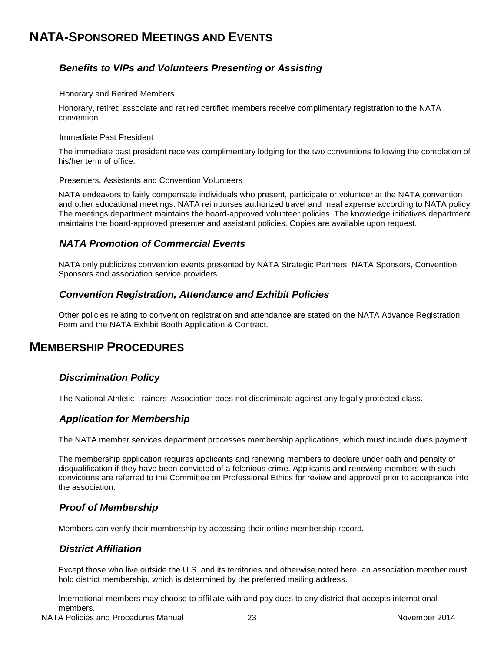# <span id="page-22-1"></span><span id="page-22-0"></span>**NATA-SPONSORED MEETINGS AND EVENTS**

# *Benefits to VIPs and Volunteers Presenting or Assisting*

#### Honorary and Retired Members

Honorary, retired associate and retired certified members receive complimentary registration to the NATA convention.

#### Immediate Past President

The immediate past president receives complimentary lodging for the two conventions following the completion of his/her term of office.

#### Presenters, Assistants and Convention Volunteers

NATA endeavors to fairly compensate individuals who present, participate or volunteer at the NATA convention and other educational meetings. NATA reimburses authorized travel and meal expense according to NATA policy. The meetings department maintains the board-approved volunteer policies. The knowledge initiatives department maintains the board-approved presenter and assistant policies. Copies are available upon request.

## <span id="page-22-2"></span>*NATA Promotion of Commercial Events*

NATA only publicizes convention events presented by NATA Strategic Partners, NATA Sponsors, Convention Sponsors and association service providers.

## <span id="page-22-3"></span>*Convention Registration, Attendance and Exhibit Policies*

Other policies relating to convention registration and attendance are stated on the NATA Advance Registration Form and the NATA Exhibit Booth Application & Contract.

# <span id="page-22-5"></span><span id="page-22-4"></span>**MEMBERSHIP PROCEDURES**

## *Discrimination Policy*

<span id="page-22-6"></span>The National Athletic Trainers' Association does not discriminate against any legally protected class.

## *Application for Membership*

The NATA member services department processes membership applications, which must include dues payment.

The membership application requires applicants and renewing members to declare under oath and penalty of disqualification if they have been convicted of a felonious crime. Applicants and renewing members with such convictions are referred to the Committee on Professional Ethics for review and approval prior to acceptance into the association.

## <span id="page-22-7"></span>*Proof of Membership*

<span id="page-22-8"></span>Members can verify their membership by accessing their online membership record.

## *District Affiliation*

Except those who live outside the U.S. and its territories and otherwise noted here, an association member must hold district membership, which is determined by the preferred mailing address.

International members may choose to affiliate with and pay dues to any district that accepts international members.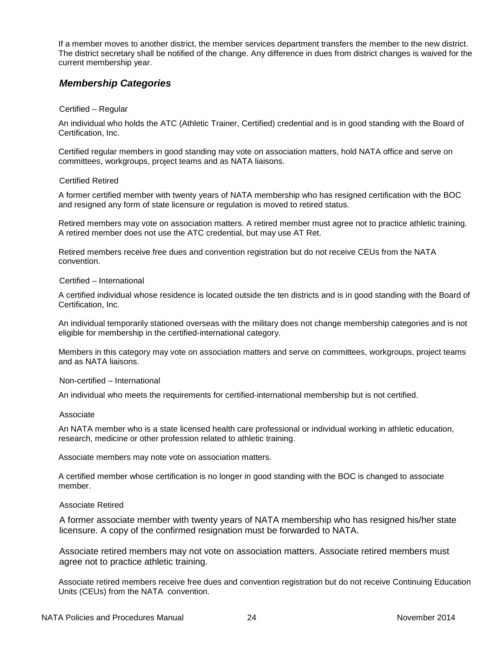If a member moves to another district, the member services department transfers the member to the new district. The district secretary shall be notified of the change. Any difference in dues from district changes is waived for the current membership year.

## <span id="page-23-0"></span>*Membership Categories*

#### Certified – Regular

An individual who holds the ATC (Athletic Trainer, Certified) credential and is in good standing with the Board of Certification, Inc.

Certified regular members in good standing may vote on association matters, hold NATA office and serve on committees, workgroups, project teams and as NATA liaisons.

#### Certified Retired

A former certified member with twenty years of NATA membership who has resigned certification with the BOC and resigned any form of state licensure or regulation is moved to retired status.

Retired members may vote on association matters. A retired member must agree not to practice athletic training. A retired member does not use the ATC credential, but may use AT Ret.

Retired members receive free dues and convention registration but do not receive CEUs from the NATA convention.

#### Certified – International

A certified individual whose residence is located outside the ten districts and is in good standing with the Board of Certification, Inc.

An individual temporarily stationed overseas with the military does not change membership categories and is not eligible for membership in the certified-international category.

Members in this category may vote on association matters and serve on committees, workgroups, project teams and as NATA liaisons.

#### Non-certified – International

An individual who meets the requirements for certified-international membership but is not certified.

#### Associate

An NATA member who is a state licensed health care professional or individual working in athletic education, research, medicine or other profession related to athletic training.

Associate members may note vote on association matters.

A certified member whose certification is no longer in good standing with the BOC is changed to associate member.

#### Associate Retired

A former associate member with twenty years of NATA membership who has resigned his/her state licensure. A copy of the confirmed resignation must be forwarded to NATA.

Associate retired members may not vote on association matters. Associate retired members must agree not to practice athletic training.

Associate retired members receive free dues and convention registration but do not receive Continuing Education Units (CEUs) from the NATA convention.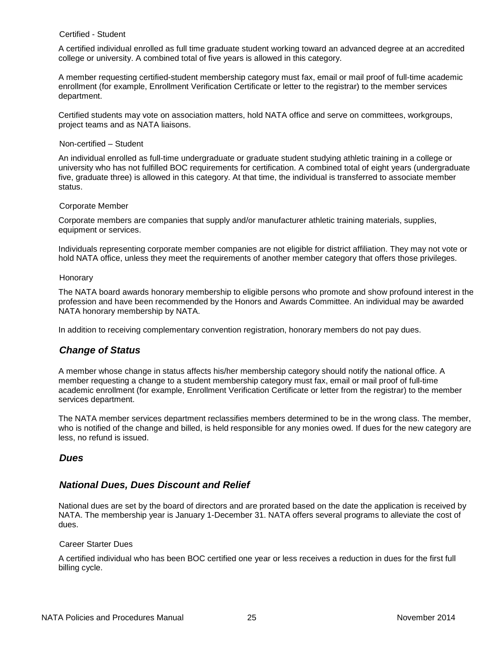### Certified - Student

A certified individual enrolled as full time graduate student working toward an advanced degree at an accredited college or university. A combined total of five years is allowed in this category.

A member requesting certified-student membership category must fax, email or mail proof of full-time academic enrollment (for example, Enrollment Verification Certificate or letter to the registrar) to the member services department.

Certified students may vote on association matters, hold NATA office and serve on committees, workgroups, project teams and as NATA liaisons.

#### Non-certified – Student

An individual enrolled as full-time undergraduate or graduate student studying athletic training in a college or university who has not fulfilled BOC requirements for certification. A combined total of eight years (undergraduate five, graduate three) is allowed in this category. At that time, the individual is transferred to associate member status.

#### Corporate Member

Corporate members are companies that supply and/or manufacturer athletic training materials, supplies, equipment or services.

Individuals representing corporate member companies are not eligible for district affiliation. They may not vote or hold NATA office, unless they meet the requirements of another member category that offers those privileges.

#### Honorary

The NATA board awards honorary membership to eligible persons who promote and show profound interest in the profession and have been recommended by the Honors and Awards Committee. An individual may be awarded NATA honorary membership by NATA.

<span id="page-24-0"></span>In addition to receiving complementary convention registration, honorary members do not pay dues.

## *Change of Status*

A member whose change in status affects his/her membership category should notify the national office. A member requesting a change to a student membership category must fax, email or mail proof of full-time academic enrollment (for example, Enrollment Verification Certificate or letter from the registrar) to the member services department.

The NATA member services department reclassifies members determined to be in the wrong class. The member, who is notified of the change and billed, is held responsible for any monies owed. If dues for the new category are less, no refund is issued.

## <span id="page-24-1"></span>*Dues*

## <span id="page-24-2"></span>*National Dues, Dues Discount and Relief*

National dues are set by the board of directors and are prorated based on the date the application is received by NATA. The membership year is January 1-December 31. NATA offers several programs to alleviate the cost of dues.

#### Career Starter Dues

A certified individual who has been BOC certified one year or less receives a reduction in dues for the first full billing cycle.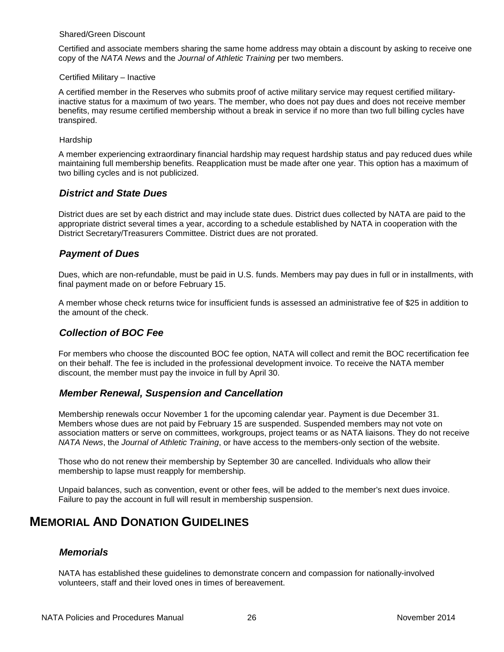#### Shared/Green Discount

Certified and associate members sharing the same home address may obtain a discount by asking to receive one copy of the *NATA News* and the *Journal of Athletic Training* per two members.

#### Certified Military – Inactive

A certified member in the Reserves who submits proof of active military service may request certified militaryinactive status for a maximum of two years. The member, who does not pay dues and does not receive member benefits, may resume certified membership without a break in service if no more than two full billing cycles have transpired.

#### Hardship

A member experiencing extraordinary financial hardship may request hardship status and pay reduced dues while maintaining full membership benefits. Reapplication must be made after one year. This option has a maximum of two billing cycles and is not publicized.

## <span id="page-25-0"></span>*District and State Dues*

District dues are set by each district and may include state dues. District dues collected by NATA are paid to the appropriate district several times a year, according to a schedule established by NATA in cooperation with the District Secretary/Treasurers Committee. District dues are not prorated.

## <span id="page-25-1"></span>*Payment of Dues*

Dues, which are non-refundable, must be paid in U.S. funds. Members may pay dues in full or in installments, with final payment made on or before February 15.

A member whose check returns twice for insufficient funds is assessed an administrative fee of \$25 in addition to the amount of the check.

## <span id="page-25-2"></span>*Collection of BOC Fee*

For members who choose the discounted BOC fee option, NATA will collect and remit the BOC recertification fee on their behalf. The fee is included in the professional development invoice. To receive the NATA member discount, the member must pay the invoice in full by April 30.

## <span id="page-25-3"></span>*Member Renewal, Suspension and Cancellation*

Membership renewals occur November 1 for the upcoming calendar year. Payment is due December 31. Members whose dues are not paid by February 15 are suspended. Suspended members may not vote on association matters or serve on committees, workgroups, project teams or as NATA liaisons. They do not receive *NATA News*, the *Journal of Athletic Training*, or have access to the members-only section of the website.

Those who do not renew their membership by September 30 are cancelled. Individuals who allow their membership to lapse must reapply for membership.

Unpaid balances, such as convention, event or other fees, will be added to the member's next dues invoice. Failure to pay the account in full will result in membership suspension.

# <span id="page-25-5"></span><span id="page-25-4"></span>**MEMORIAL AND DONATION GUIDELINES**

## *Memorials*

NATA has established these guidelines to demonstrate concern and compassion for nationally-involved volunteers, staff and their loved ones in times of bereavement.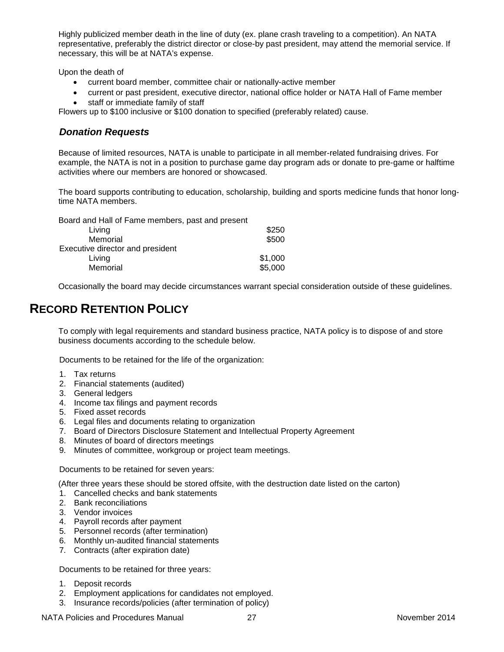Highly publicized member death in the line of duty (ex. plane crash traveling to a competition). An NATA representative, preferably the district director or close-by past president, may attend the memorial service. If necessary, this will be at NATA's expense.

Upon the death of

- current board member, committee chair or nationally-active member
- current or past president, executive director, national office holder or NATA Hall of Fame member
- staff or immediate family of staff

<span id="page-26-0"></span>Flowers up to \$100 inclusive or \$100 donation to specified (preferably related) cause.

# *Donation Requests*

Because of limited resources, NATA is unable to participate in all member-related fundraising drives. For example, the NATA is not in a position to purchase game day program ads or donate to pre-game or halftime activities where our members are honored or showcased.

The board supports contributing to education, scholarship, building and sports medicine funds that honor longtime NATA members.

| Board and Hall of Fame members, past and present |         |
|--------------------------------------------------|---------|
| Living                                           | \$250   |
| Memorial                                         | \$500   |
| Executive director and president                 |         |
| Living                                           | \$1,000 |
| Memorial                                         | \$5,000 |

Occasionally the board may decide circumstances warrant special consideration outside of these guidelines.

# <span id="page-26-1"></span>**RECORD RETENTION POLICY**

To comply with legal requirements and standard business practice, NATA policy is to dispose of and store business documents according to the schedule below.

Documents to be retained for the life of the organization:

- 1. Tax returns
- 2. Financial statements (audited)
- 3. General ledgers
- 4. Income tax filings and payment records
- 5. Fixed asset records
- 6. Legal files and documents relating to organization
- 7. Board of Directors Disclosure Statement and Intellectual Property Agreement
- 8. Minutes of board of directors meetings
- 9. Minutes of committee, workgroup or project team meetings.

Documents to be retained for seven years:

(After three years these should be stored offsite, with the destruction date listed on the carton)

- 1. Cancelled checks and bank statements
- 2. Bank reconciliations
- 3. Vendor invoices
- 4. Payroll records after payment
- 5. Personnel records (after termination)
- 6. Monthly un-audited financial statements
- 7. Contracts (after expiration date)

Documents to be retained for three years:

- 1. Deposit records
- 2. Employment applications for candidates not employed.
- 3. Insurance records/policies (after termination of policy)

NATA Policies and Procedures Manual 27 27 November 2014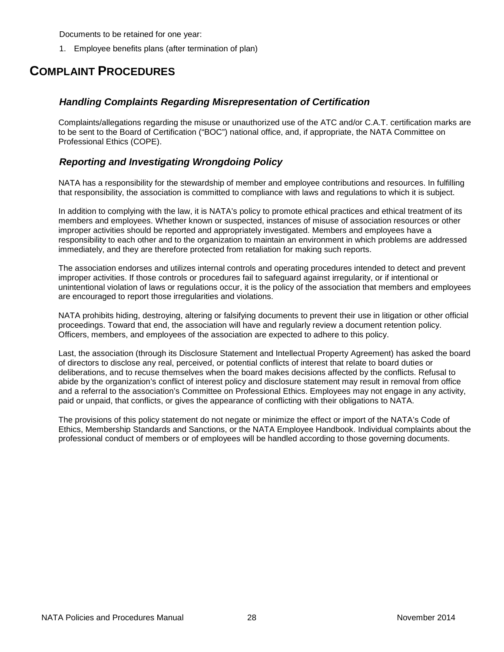Documents to be retained for one year:

1. Employee benefits plans (after termination of plan)

# <span id="page-27-1"></span><span id="page-27-0"></span>**COMPLAINT PROCEDURES**

# *Handling Complaints Regarding Misrepresentation of Certification*

Complaints/allegations regarding the misuse or unauthorized use of the ATC and/or C.A.T. certification marks are to be sent to the Board of Certification ("BOC") national office, and, if appropriate, the NATA Committee on Professional Ethics (COPE).

# <span id="page-27-2"></span>*Reporting and Investigating Wrongdoing Policy*

NATA has a responsibility for the stewardship of member and employee contributions and resources. In fulfilling that responsibility, the association is committed to compliance with laws and regulations to which it is subject.

In addition to complying with the law, it is NATA's policy to promote ethical practices and ethical treatment of its members and employees. Whether known or suspected, instances of misuse of association resources or other improper activities should be reported and appropriately investigated. Members and employees have a responsibility to each other and to the organization to maintain an environment in which problems are addressed immediately, and they are therefore protected from retaliation for making such reports.

The association endorses and utilizes internal controls and operating procedures intended to detect and prevent improper activities. If those controls or procedures fail to safeguard against irregularity, or if intentional or unintentional violation of laws or regulations occur, it is the policy of the association that members and employees are encouraged to report those irregularities and violations.

NATA prohibits hiding, destroying, altering or falsifying documents to prevent their use in litigation or other official proceedings. Toward that end, the association will have and regularly review a document retention policy. Officers, members, and employees of the association are expected to adhere to this policy.

Last, the association (through its Disclosure Statement and Intellectual Property Agreement) has asked the board of directors to disclose any real, perceived, or potential conflicts of interest that relate to board duties or deliberations, and to recuse themselves when the board makes decisions affected by the conflicts. Refusal to abide by the organization's conflict of interest policy and disclosure statement may result in removal from office and a referral to the association's Committee on Professional Ethics. Employees may not engage in any activity, paid or unpaid, that conflicts, or gives the appearance of conflicting with their obligations to NATA.

The provisions of this policy statement do not negate or minimize the effect or import of the NATA's Code of Ethics, Membership Standards and Sanctions, or the NATA Employee Handbook. Individual complaints about the professional conduct of members or of employees will be handled according to those governing documents.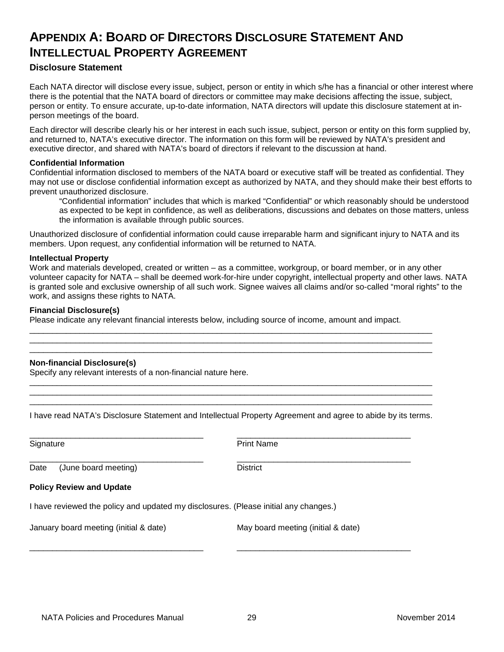# <span id="page-28-0"></span>**APPENDIX A: BOARD OF DIRECTORS DISCLOSURE STATEMENT AND INTELLECTUAL PROPERTY AGREEMENT**

## **Disclosure Statement**

Each NATA director will disclose every issue, subject, person or entity in which s/he has a financial or other interest where there is the potential that the NATA board of directors or committee may make decisions affecting the issue, subject, person or entity. To ensure accurate, up-to-date information, NATA directors will update this disclosure statement at inperson meetings of the board.

Each director will describe clearly his or her interest in each such issue, subject, person or entity on this form supplied by, and returned to, NATA's executive director. The information on this form will be reviewed by NATA's president and executive director, and shared with NATA's board of directors if relevant to the discussion at hand.

### **Confidential Information**

Confidential information disclosed to members of the NATA board or executive staff will be treated as confidential. They may not use or disclose confidential information except as authorized by NATA, and they should make their best efforts to prevent unauthorized disclosure.

"Confidential information" includes that which is marked "Confidential" or which reasonably should be understood as expected to be kept in confidence, as well as deliberations, discussions and debates on those matters, unless the information is available through public sources.

Unauthorized disclosure of confidential information could cause irreparable harm and significant injury to NATA and its members. Upon request, any confidential information will be returned to NATA.

#### **Intellectual Property**

Work and materials developed, created or written – as a committee, workgroup, or board member, or in any other volunteer capacity for NATA – shall be deemed work-for-hire under copyright, intellectual property and other laws. NATA is granted sole and exclusive ownership of all such work. Signee waives all claims and/or so-called "moral rights" to the work, and assigns these rights to NATA.

#### **Financial Disclosure(s)**

Please indicate any relevant financial interests below, including source of income, amount and impact.

### **Non-financial Disclosure(s)**

Specify any relevant interests of a non-financial nature here.

\_\_\_\_\_\_\_\_\_\_\_\_\_\_\_\_\_\_\_\_\_\_\_\_\_\_\_\_\_\_\_\_\_\_\_\_\_\_\_\_\_\_\_\_\_\_\_\_\_\_\_\_\_\_\_\_\_\_\_\_\_\_\_\_\_\_\_\_\_\_\_\_\_\_\_\_\_\_\_\_\_\_\_\_\_\_\_\_ I have read NATA's Disclosure Statement and Intellectual Property Agreement and agree to abide by its terms.

\_\_\_\_\_\_\_\_\_\_\_\_\_\_\_\_\_\_\_\_\_\_\_\_\_\_\_\_\_\_\_\_\_\_\_\_\_\_\_\_\_\_\_\_\_\_\_\_\_\_\_\_\_\_\_\_\_\_\_\_\_\_\_\_\_\_\_\_\_\_\_\_\_\_\_\_\_\_\_\_\_\_\_\_\_\_\_\_ \_\_\_\_\_\_\_\_\_\_\_\_\_\_\_\_\_\_\_\_\_\_\_\_\_\_\_\_\_\_\_\_\_\_\_\_\_\_\_\_\_\_\_\_\_\_\_\_\_\_\_\_\_\_\_\_\_\_\_\_\_\_\_\_\_\_\_\_\_\_\_\_\_\_\_\_\_\_\_\_\_\_\_\_\_\_\_\_

\_\_\_\_\_\_\_\_\_\_\_\_\_\_\_\_\_\_\_\_\_\_\_\_\_\_\_\_\_\_\_\_\_\_\_\_\_\_\_\_\_\_\_\_\_\_\_\_\_\_\_\_\_\_\_\_\_\_\_\_\_\_\_\_\_\_\_\_\_\_\_\_\_\_\_\_\_\_\_\_\_\_\_\_\_\_\_\_ \_\_\_\_\_\_\_\_\_\_\_\_\_\_\_\_\_\_\_\_\_\_\_\_\_\_\_\_\_\_\_\_\_\_\_\_\_\_\_\_\_\_\_\_\_\_\_\_\_\_\_\_\_\_\_\_\_\_\_\_\_\_\_\_\_\_\_\_\_\_\_\_\_\_\_\_\_\_\_\_\_\_\_\_\_\_\_\_ \_\_\_\_\_\_\_\_\_\_\_\_\_\_\_\_\_\_\_\_\_\_\_\_\_\_\_\_\_\_\_\_\_\_\_\_\_\_\_\_\_\_\_\_\_\_\_\_\_\_\_\_\_\_\_\_\_\_\_\_\_\_\_\_\_\_\_\_\_\_\_\_\_\_\_\_\_\_\_\_\_\_\_\_\_\_\_\_

| Signature                                                                            | <b>Print Name</b>                  |  |  |
|--------------------------------------------------------------------------------------|------------------------------------|--|--|
| (June board meeting)<br>Date                                                         | <b>District</b>                    |  |  |
| <b>Policy Review and Update</b>                                                      |                                    |  |  |
| I have reviewed the policy and updated my disclosures. (Please initial any changes.) |                                    |  |  |
| January board meeting (initial & date)                                               | May board meeting (initial & date) |  |  |
|                                                                                      |                                    |  |  |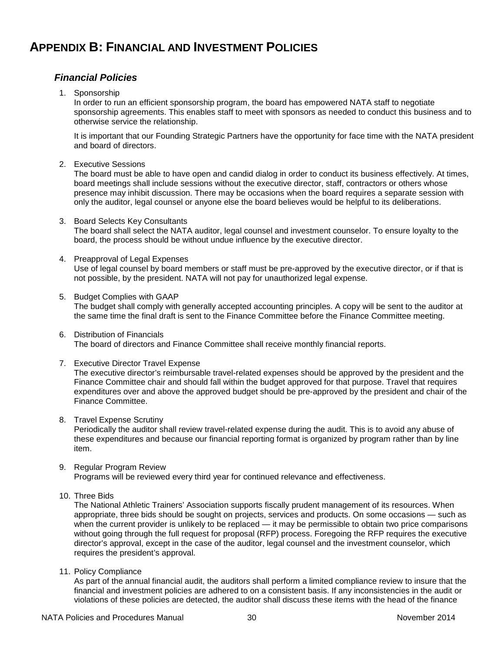# <span id="page-29-1"></span><span id="page-29-0"></span>**APPENDIX B: FINANCIAL AND INVESTMENT POLICIES**

# *Financial Policies*

1. Sponsorship

In order to run an efficient sponsorship program, the board has empowered NATA staff to negotiate sponsorship agreements. This enables staff to meet with sponsors as needed to conduct this business and to otherwise service the relationship.

It is important that our Founding Strategic Partners have the opportunity for face time with the NATA president and board of directors.

2. Executive Sessions

The board must be able to have open and candid dialog in order to conduct its business effectively. At times, board meetings shall include sessions without the executive director, staff, contractors or others whose presence may inhibit discussion. There may be occasions when the board requires a separate session with only the auditor, legal counsel or anyone else the board believes would be helpful to its deliberations.

- 3. Board Selects Key Consultants The board shall select the NATA auditor, legal counsel and investment counselor. To ensure loyalty to the board, the process should be without undue influence by the executive director.
- 4. Preapproval of Legal Expenses

Use of legal counsel by board members or staff must be pre-approved by the executive director, or if that is not possible, by the president. NATA will not pay for unauthorized legal expense.

- 5. Budget Complies with GAAP The budget shall comply with generally accepted accounting principles. A copy will be sent to the auditor at the same time the final draft is sent to the Finance Committee before the Finance Committee meeting.
- 6. Distribution of Financials The board of directors and Finance Committee shall receive monthly financial reports.
- 7. Executive Director Travel Expense

The executive director's reimbursable travel-related expenses should be approved by the president and the Finance Committee chair and should fall within the budget approved for that purpose. Travel that requires expenditures over and above the approved budget should be pre-approved by the president and chair of the Finance Committee.

8. Travel Expense Scrutiny

Periodically the auditor shall review travel-related expense during the audit. This is to avoid any abuse of these expenditures and because our financial reporting format is organized by program rather than by line item.

9. Regular Program Review

Programs will be reviewed every third year for continued relevance and effectiveness.

10. Three Bids

The National Athletic Trainers' Association supports fiscally prudent management of its resources. When appropriate, three bids should be sought on projects, services and products. On some occasions — such as when the current provider is unlikely to be replaced — it may be permissible to obtain two price comparisons without going through the full request for proposal (RFP) process. Foregoing the RFP requires the executive director's approval, except in the case of the auditor, legal counsel and the investment counselor, which requires the president's approval.

11. Policy Compliance

As part of the annual financial audit, the auditors shall perform a limited compliance review to insure that the financial and investment policies are adhered to on a consistent basis. If any inconsistencies in the audit or violations of these policies are detected, the auditor shall discuss these items with the head of the finance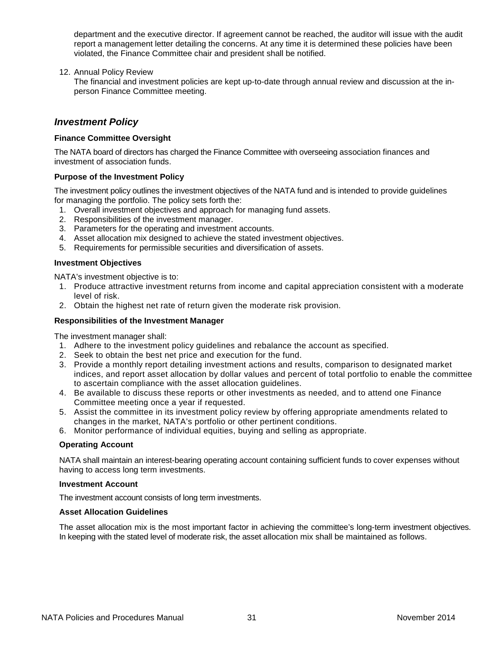department and the executive director. If agreement cannot be reached, the auditor will issue with the audit report a management letter detailing the concerns. At any time it is determined these policies have been violated, the Finance Committee chair and president shall be notified.

12. Annual Policy Review

The financial and investment policies are kept up-to-date through annual review and discussion at the inperson Finance Committee meeting.

## <span id="page-30-0"></span>*Investment Policy*

### **Finance Committee Oversight**

The NATA board of directors has charged the Finance Committee with overseeing association finances and investment of association funds.

### **Purpose of the Investment Policy**

The investment policy outlines the investment objectives of the NATA fund and is intended to provide guidelines for managing the portfolio. The policy sets forth the:

- 1. Overall investment objectives and approach for managing fund assets.
- 2. Responsibilities of the investment manager.
- 3. Parameters for the operating and investment accounts.
- 4. Asset allocation mix designed to achieve the stated investment objectives.
- 5. Requirements for permissible securities and diversification of assets.

#### **Investment Objectives**

NATA's investment objective is to:

- 1. Produce attractive investment returns from income and capital appreciation consistent with a moderate level of risk.
- 2. Obtain the highest net rate of return given the moderate risk provision.

### **Responsibilities of the Investment Manager**

The investment manager shall:

- 1. Adhere to the investment policy guidelines and rebalance the account as specified.
- 2. Seek to obtain the best net price and execution for the fund.
- 3. Provide a monthly report detailing investment actions and results, comparison to designated market indices, and report asset allocation by dollar values and percent of total portfolio to enable the committee to ascertain compliance with the asset allocation guidelines.
- 4. Be available to discuss these reports or other investments as needed, and to attend one Finance Committee meeting once a year if requested.
- 5. Assist the committee in its investment policy review by offering appropriate amendments related to changes in the market, NATA's portfolio or other pertinent conditions.
- 6. Monitor performance of individual equities, buying and selling as appropriate.

### **Operating Account**

NATA shall maintain an interest-bearing operating account containing sufficient funds to cover expenses without having to access long term investments.

#### **Investment Account**

The investment account consists of long term investments.

### **Asset Allocation Guidelines**

The asset allocation mix is the most important factor in achieving the committee's long-term investment objectives. In keeping with the stated level of moderate risk, the asset allocation mix shall be maintained as follows.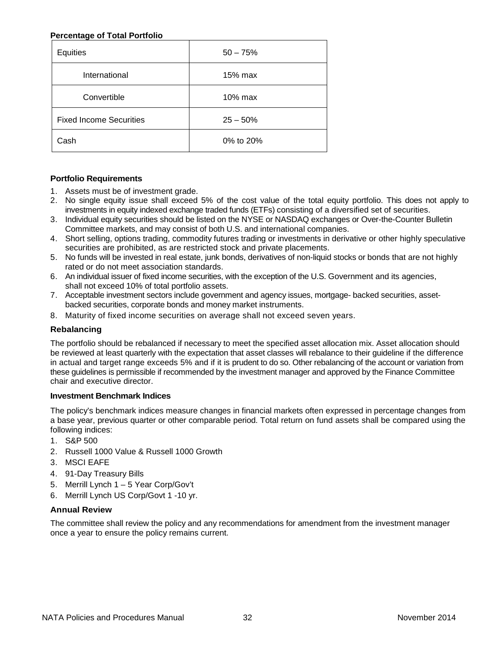## **Percentage of Total Portfolio**

| Equities                       | $50 - 75%$ |
|--------------------------------|------------|
| International                  | 15% max    |
| Convertible                    | 10% max    |
| <b>Fixed Income Securities</b> | $25 - 50%$ |
| Cash                           | 0% to 20%  |

## **Portfolio Requirements**

- 1. Assets must be of investment grade.
- 2. No single equity issue shall exceed 5% of the cost value of the total equity portfolio. This does not apply to investments in equity indexed exchange traded funds (ETFs) consisting of a diversified set of securities.
- 3. Individual equity securities should be listed on the NYSE or NASDAQ exchanges or Over-the-Counter Bulletin Committee markets, and may consist of both U.S. and international companies.
- 4. Short selling, options trading, commodity futures trading or investments in derivative or other highly speculative securities are prohibited, as are restricted stock and private placements.
- 5. No funds will be invested in real estate, junk bonds, derivatives of non-liquid stocks or bonds that are not highly rated or do not meet association standards.
- 6. An individual issuer of fixed income securities, with the exception of the U.S. Government and its agencies, shall not exceed 10% of total portfolio assets.
- 7. Acceptable investment sectors include government and agency issues, mortgage- backed securities, assetbacked securities, corporate bonds and money market instruments.
- 8. Maturity of fixed income securities on average shall not exceed seven years.

### **Rebalancing**

The portfolio should be rebalanced if necessary to meet the specified asset allocation mix. Asset allocation should be reviewed at least quarterly with the expectation that asset classes will rebalance to their guideline if the difference in actual and target range exceeds 5% and if it is prudent to do so. Other rebalancing of the account or variation from these guidelines is permissible if recommended by the investment manager and approved by the Finance Committee chair and executive director.

### **Investment Benchmark Indices**

The policy's benchmark indices measure changes in financial markets often expressed in percentage changes from a base year, previous quarter or other comparable period. Total return on fund assets shall be compared using the following indices:

- 1. S&P 500
- 2. Russell 1000 Value & Russell 1000 Growth
- 3. MSCI EAFE
- 4. 91-Day Treasury Bills
- 5. Merrill Lynch 1 5 Year Corp/Gov't
- 6. Merrill Lynch US Corp/Govt 1 -10 yr.

### **Annual Review**

The committee shall review the policy and any recommendations for amendment from the investment manager once a year to ensure the policy remains current.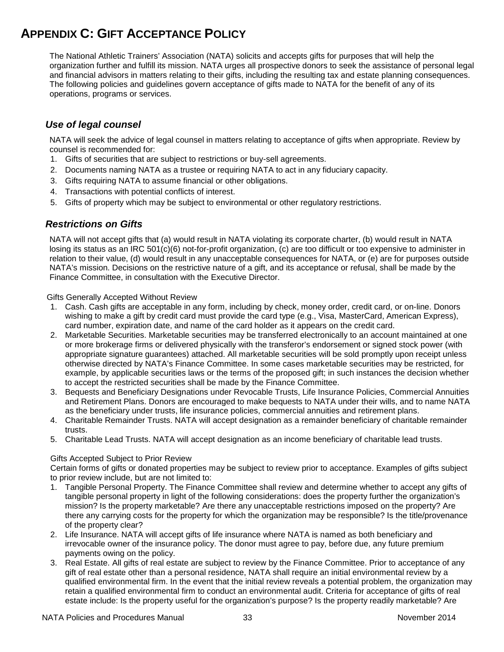# <span id="page-32-0"></span>**APPENDIX C: GIFT ACCEPTANCE POLICY**

The National Athletic Trainers' Association (NATA) solicits and accepts gifts for purposes that will help the organization further and fulfill its mission. NATA urges all prospective donors to seek the assistance of personal legal and financial advisors in matters relating to their gifts, including the resulting tax and estate planning consequences. The following policies and guidelines govern acceptance of gifts made to NATA for the benefit of any of its operations, programs or services.

# <span id="page-32-1"></span>*Use of legal counsel*

NATA will seek the advice of legal counsel in matters relating to acceptance of gifts when appropriate. Review by counsel is recommended for:

- 1. Gifts of securities that are subject to restrictions or buy-sell agreements.
- 2. Documents naming NATA as a trustee or requiring NATA to act in any fiduciary capacity.
- 3. Gifts requiring NATA to assume financial or other obligations.
- 4. Transactions with potential conflicts of interest.
- 5. Gifts of property which may be subject to environmental or other regulatory restrictions.

# <span id="page-32-2"></span>*Restrictions on Gifts*

NATA will not accept gifts that (a) would result in NATA violating its corporate charter, (b) would result in NATA losing its status as an IRC 501(c)(6) not-for-profit organization, (c) are too difficult or too expensive to administer in relation to their value, (d) would result in any unacceptable consequences for NATA, or (e) are for purposes outside NATA's mission. Decisions on the restrictive nature of a gift, and its acceptance or refusal, shall be made by the Finance Committee, in consultation with the Executive Director.

Gifts Generally Accepted Without Review

- 1. Cash. Cash gifts are acceptable in any form, including by check, money order, credit card, or on-line. Donors wishing to make a gift by credit card must provide the card type (e.g., Visa, MasterCard, American Express), card number, expiration date, and name of the card holder as it appears on the credit card.
- 2. Marketable Securities. Marketable securities may be transferred electronically to an account maintained at one or more brokerage firms or delivered physically with the transferor's endorsement or signed stock power (with appropriate signature guarantees) attached. All marketable securities will be sold promptly upon receipt unless otherwise directed by NATA's Finance Committee. In some cases marketable securities may be restricted, for example, by applicable securities laws or the terms of the proposed gift; in such instances the decision whether to accept the restricted securities shall be made by the Finance Committee.
- 3. Bequests and Beneficiary Designations under Revocable Trusts, Life Insurance Policies, Commercial Annuities and Retirement Plans. Donors are encouraged to make bequests to NATA under their wills, and to name NATA as the beneficiary under trusts, life insurance policies, commercial annuities and retirement plans.
- 4. Charitable Remainder Trusts. NATA will accept designation as a remainder beneficiary of charitable remainder trusts.
- 5. Charitable Lead Trusts. NATA will accept designation as an income beneficiary of charitable lead trusts.

## Gifts Accepted Subject to Prior Review

Certain forms of gifts or donated properties may be subject to review prior to acceptance. Examples of gifts subject to prior review include, but are not limited to:

- 1. Tangible Personal Property. The Finance Committee shall review and determine whether to accept any gifts of tangible personal property in light of the following considerations: does the property further the organization's mission? Is the property marketable? Are there any unacceptable restrictions imposed on the property? Are there any carrying costs for the property for which the organization may be responsible? Is the title/provenance of the property clear?
- 2. Life Insurance. NATA will accept gifts of life insurance where NATA is named as both beneficiary and irrevocable owner of the insurance policy. The donor must agree to pay, before due, any future premium payments owing on the policy.
- 3. Real Estate. All gifts of real estate are subject to review by the Finance Committee. Prior to acceptance of any gift of real estate other than a personal residence, NATA shall require an initial environmental review by a qualified environmental firm. In the event that the initial review reveals a potential problem, the organization may retain a qualified environmental firm to conduct an environmental audit. Criteria for acceptance of gifts of real estate include: Is the property useful for the organization's purpose? Is the property readily marketable? Are